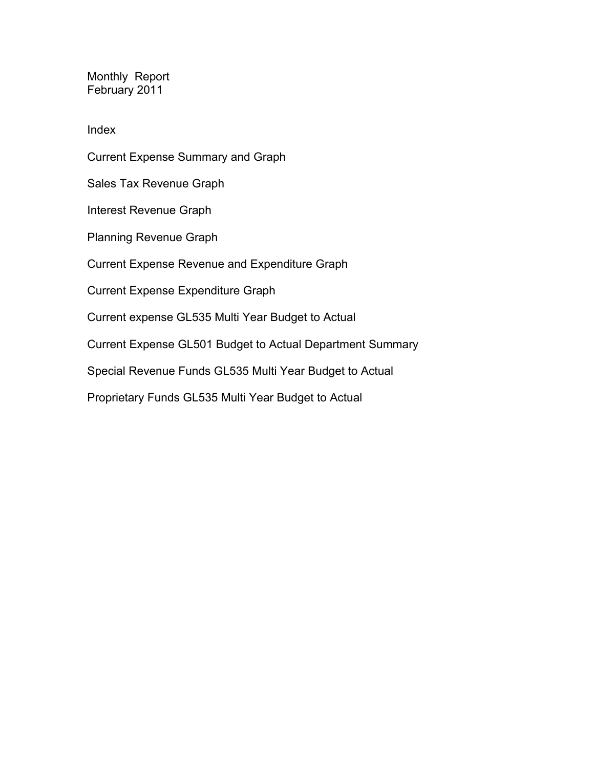Monthly Report February 2011

Index

Current Expense Summary and Graph Sales Tax Revenue Graph Interest Revenue Graph Planning Revenue Graph Current Expense Revenue and Expenditure Graph Current Expense Expenditure Graph Current expense GL535 Multi Year Budget to Actual Current Expense GL501 Budget to Actual Department Summary Special Revenue Funds GL535 Multi Year Budget to Actual Proprietary Funds GL535 Multi Year Budget to Actual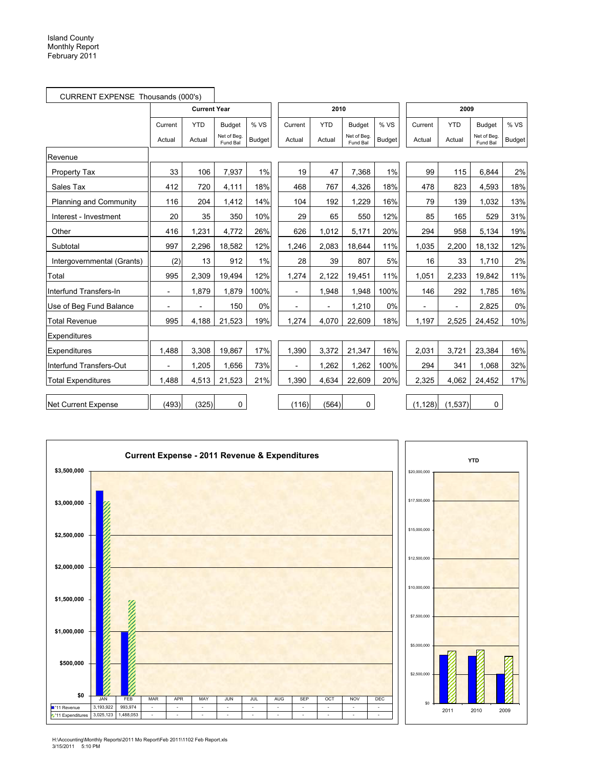| CURRENT EXPENSE Thousands (000's) |                |                     |                         |               |                          |            |                         |               |                |            |                         |        |
|-----------------------------------|----------------|---------------------|-------------------------|---------------|--------------------------|------------|-------------------------|---------------|----------------|------------|-------------------------|--------|
|                                   |                | <b>Current Year</b> |                         |               |                          | 2010       |                         |               |                | 2009       |                         |        |
|                                   | Current        | <b>YTD</b>          | <b>Budget</b>           | %VS           | Current                  | <b>YTD</b> | <b>Budget</b>           | %VS           | Current        | <b>YTD</b> | <b>Budget</b>           | % VS   |
|                                   | Actual         | Actual              | Net of Bea.<br>Fund Bal | <b>Budget</b> | Actual                   | Actual     | Net of Beg.<br>Fund Bal | <b>Budget</b> | Actual         | Actual     | Net of Beg.<br>Fund Bal | Budget |
| Revenue                           |                |                     |                         |               |                          |            |                         |               |                |            |                         |        |
| <b>Property Tax</b>               | 33             | 106                 | 7,937                   | 1%            | 19                       | 47         | 7,368                   | 1%            | 99             | 115        | 6,844                   | 2%     |
| Sales Tax                         | 412            | 720                 | 4,111                   | 18%           | 468                      | 767        | 4,326                   | 18%           | 478            | 823        | 4,593                   | 18%    |
| Planning and Community            | 116            | 204                 | 1,412                   | 14%           | 104                      | 192        | 1.229                   | 16%           | 79             | 139        | 1,032                   | 13%    |
| Interest - Investment             | 20             | 35                  | 350                     | 10%           | 29                       | 65         | 550                     | 12%           | 85             | 165        | 529                     | 31%    |
| Other                             | 416            | 1,231               | 4,772                   | 26%           | 626                      | 1,012      | 5,171                   | 20%           | 294            | 958        | 5,134                   | 19%    |
| Subtotal                          | 997            | 2,296               | 18,582                  | 12%           | 1,246                    | 2,083      | 18,644                  | 11%           | 1,035          | 2,200      | 18,132                  | 12%    |
| Intergovernmental (Grants)        | (2)            | 13                  | 912                     | 1%            | 28                       | 39         | 807                     | 5%            | 16             | 33         | 1,710                   | 2%     |
| Total                             | 995            | 2,309               | 19,494                  | 12%           | 1,274                    | 2,122      | 19,451                  | 11%           | 1,051          | 2,233      | 19,842                  | 11%    |
| Interfund Transfers-In            | $\blacksquare$ | 1,879               | 1,879                   | 100%          | $\overline{\phantom{a}}$ | 1,948      | 1,948                   | 100%          | 146            | 292        | 1,785                   | 16%    |
| Use of Beg Fund Balance           | $\blacksquare$ | $\overline{a}$      | 150                     | 0%            | $\overline{a}$           |            | 1,210                   | 0%            | $\overline{a}$ |            | 2,825                   | 0%     |
| <b>Total Revenue</b>              | 995            | 4,188               | 21,523                  | 19%           | 1,274                    | 4,070      | 22,609                  | 18%           | 1,197          | 2,525      | 24,452                  | 10%    |
| Expenditures                      |                |                     |                         |               |                          |            |                         |               |                |            |                         |        |
| Expenditures                      | 1,488          | 3,308               | 19,867                  | 17%           | 1,390                    | 3,372      | 21,347                  | 16%           | 2,031          | 3,721      | 23,384                  | 16%    |
| Interfund Transfers-Out           |                | 1,205               | 1,656                   | 73%           |                          | 1,262      | 1,262                   | 100%          | 294            | 341        | 1,068                   | 32%    |
| <b>Total Expenditures</b>         | 1,488          | 4,513               | 21,523                  | 21%           | 1,390                    | 4,634      | 22,609                  | 20%           | 2,325          | 4,062      | 24,452                  | 17%    |
| Net Current Expense               | (493)          | (325)               | 0                       |               | (116)                    | (564)      | 0                       |               | (1, 128)       | (1,537)    | $\mathbf 0$             |        |

÷



H:\Accounting\Monthly Reports\2011 Mo Report\Feb 2011\1102 Feb Report.xls 3/15/2011 5:10 PM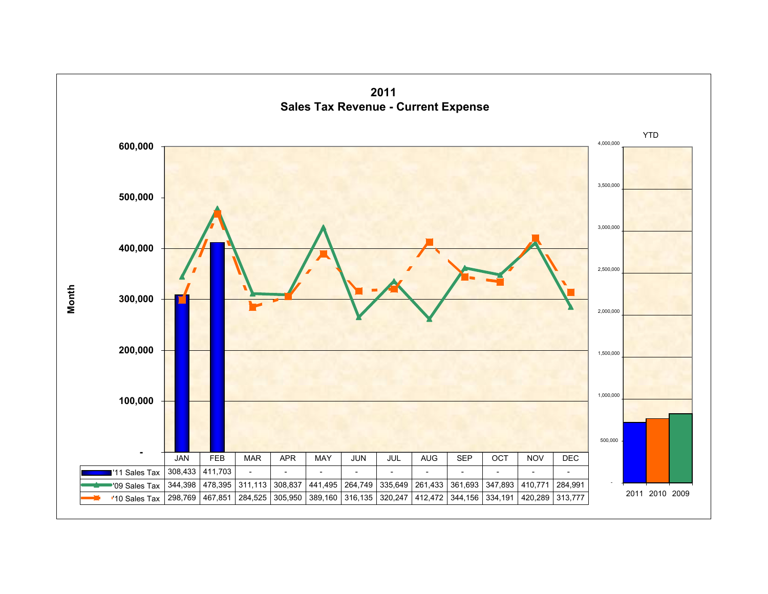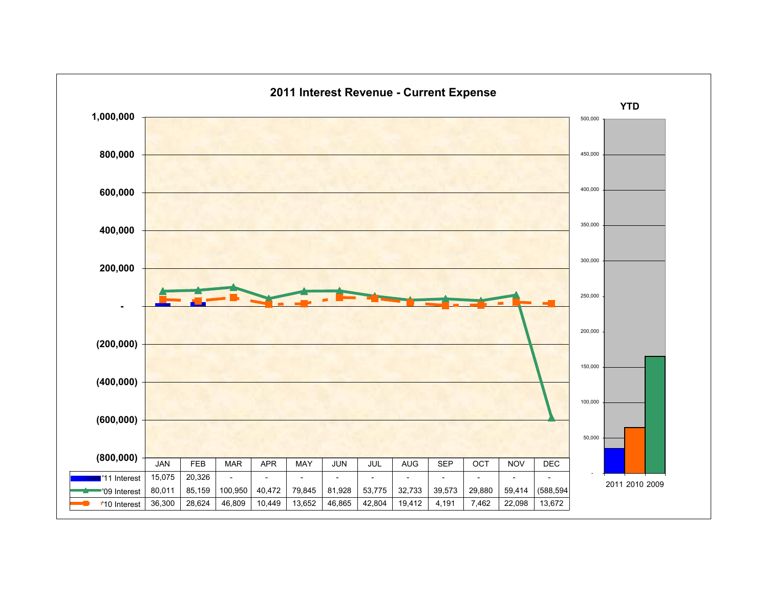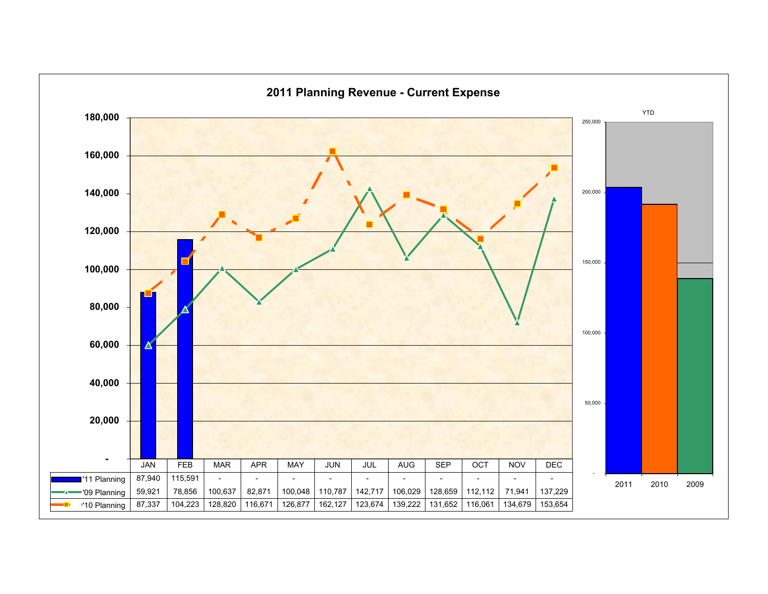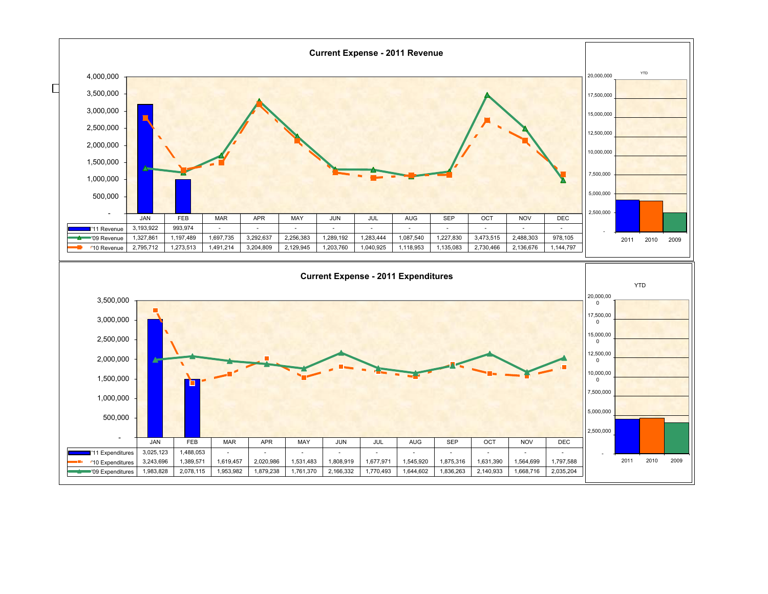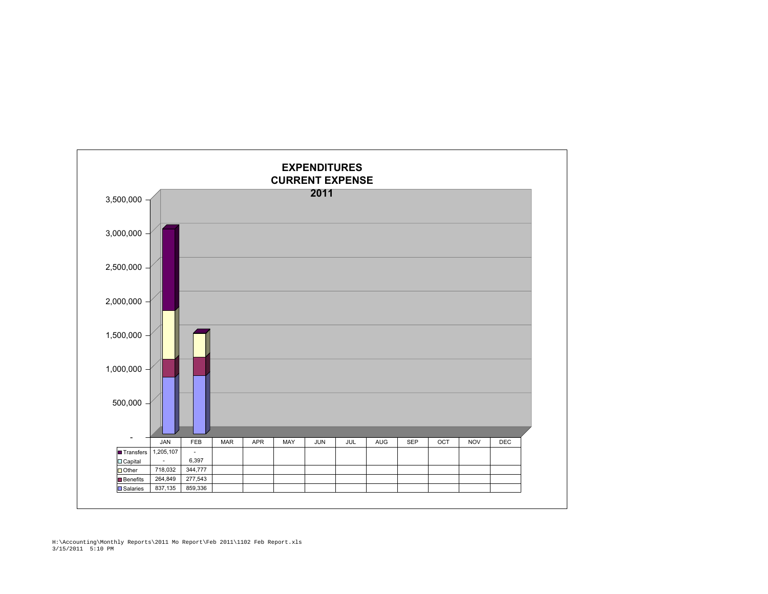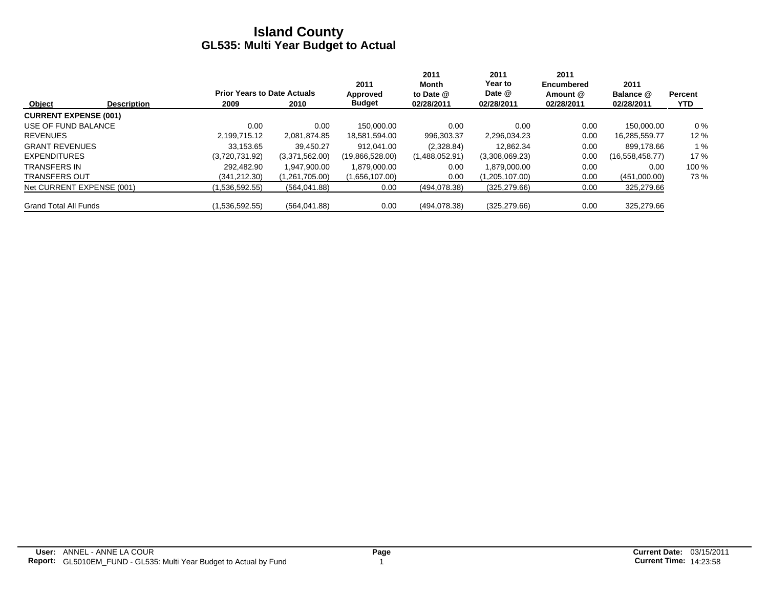|                              |                    |                                    |                | 2011            | 2011<br>Month  | 2011<br>Year to | 2011<br><b>Encumbered</b> | 2011            |                |
|------------------------------|--------------------|------------------------------------|----------------|-----------------|----------------|-----------------|---------------------------|-----------------|----------------|
|                              |                    | <b>Prior Years to Date Actuals</b> |                | Approved        | to Date @      | Date @          | Amount @                  | Balance @       | <b>Percent</b> |
| Object                       | <b>Description</b> | 2009                               | 2010           | <b>Budget</b>   | 02/28/2011     | 02/28/2011      | 02/28/2011                | 02/28/2011      | <b>YTD</b>     |
| <b>CURRENT EXPENSE (001)</b> |                    |                                    |                |                 |                |                 |                           |                 |                |
| USE OF FUND BALANCE          |                    | 0.00                               | 0.00           | 150.000.00      | 0.00           | 0.00            | 0.00                      | 150.000.00      | $0\%$          |
| <b>REVENUES</b>              |                    | 2.199.715.12                       | 2.081.874.85   | 18,581,594.00   | 996,303.37     | 2.296.034.23    | 0.00                      | 16.285.559.77   | 12 %           |
| <b>GRANT REVENUES</b>        |                    | 33.153.65                          | 39.450.27      | 912.041.00      | (2,328.84)     | 12.862.34       | 0.00                      | 899.178.66      | 1%             |
| <b>EXPENDITURES</b>          |                    | (3,720,731.92)                     | (3,371,562.00) | (19,866,528.00) | (1,488,052.91) | (3,308,069.23)  | 0.00                      | (16,558,458.77) | 17%            |
| <b>TRANSFERS IN</b>          |                    | 292.482.90                         | 1.947.900.00   | 1.879.000.00    | 0.00           | 1.879.000.00    | 0.00                      | 0.00            | 100 %          |
| <b>TRANSFERS OUT</b>         |                    | (341,212.30)                       | (1,261,705.00) | (1,656,107.00)  | 0.00           | (1,205,107.00)  | 0.00                      | (451,000.00)    | 73 %           |
| Net CURRENT EXPENSE (001)    |                    | (1,536,592.55)                     | (564, 041.88)  | 0.00            | (494, 078.38)  | (325, 279.66)   | 0.00                      | 325,279.66      |                |
| <b>Grand Total All Funds</b> |                    | (1,536,592.55)                     | (564, 041.88)  | 0.00            | (494, 078.38)  | (325, 279.66)   | 0.00                      | 325,279.66      |                |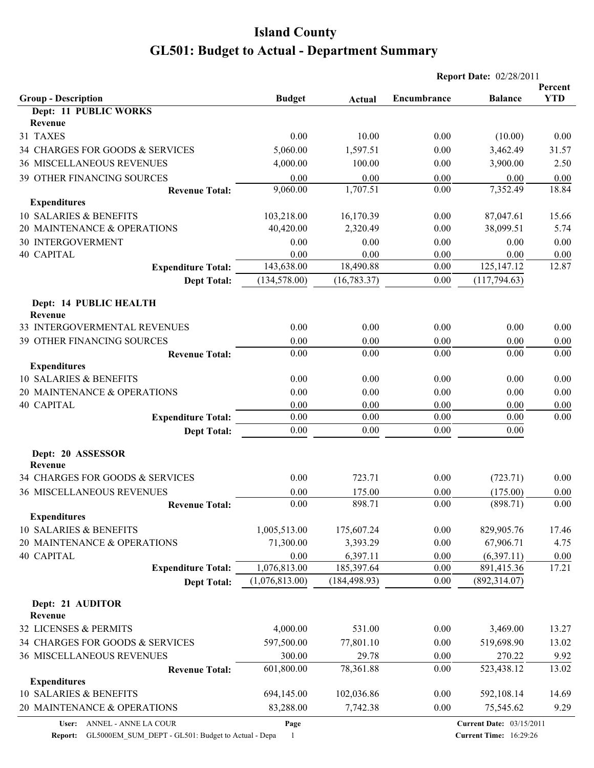|                                              |                |               |             | <b>Report Date: 02/28/2011</b>  |                       |
|----------------------------------------------|----------------|---------------|-------------|---------------------------------|-----------------------|
| <b>Group - Description</b>                   | <b>Budget</b>  | Actual        | Encumbrance | <b>Balance</b>                  | Percent<br><b>YTD</b> |
| <b>Dept: 11 PUBLIC WORKS</b>                 |                |               |             |                                 |                       |
| Revenue                                      |                |               |             |                                 |                       |
| 31 TAXES                                     | 0.00           | 10.00         | 0.00        | (10.00)                         | 0.00                  |
| 34 CHARGES FOR GOODS & SERVICES              | 5,060.00       | 1,597.51      | 0.00        | 3,462.49                        | 31.57                 |
| <b>36 MISCELLANEOUS REVENUES</b>             | 4,000.00       | 100.00        | 0.00        | 3,900.00                        | 2.50                  |
| 39 OTHER FINANCING SOURCES                   | 0.00           | 0.00          | 0.00        | 0.00                            | 0.00                  |
| <b>Revenue Total:</b>                        | 9,060.00       | 1,707.51      | 0.00        | 7,352.49                        | 18.84                 |
| <b>Expenditures</b>                          |                |               |             |                                 |                       |
| 10 SALARIES & BENEFITS                       | 103,218.00     | 16,170.39     | 0.00        | 87,047.61                       | 15.66                 |
| 20 MAINTENANCE & OPERATIONS                  | 40,420.00      | 2,320.49      | 0.00        | 38,099.51                       | 5.74                  |
| <b>30 INTERGOVERMENT</b>                     | 0.00           | 0.00          | 0.00        | 0.00                            | 0.00                  |
| 40 CAPITAL                                   | 0.00           | 0.00          | 0.00        | 0.00                            | 0.00                  |
| <b>Expenditure Total:</b>                    | 143,638.00     | 18,490.88     | 0.00        | 125, 147. 12                    | 12.87                 |
| <b>Dept Total:</b>                           | (134, 578.00)  | (16, 783.37)  | 0.00        | (117, 794.63)                   |                       |
| Dept: 14 PUBLIC HEALTH<br>Revenue            |                |               |             |                                 |                       |
| 33 INTERGOVERMENTAL REVENUES                 | 0.00           | 0.00          | 0.00        | 0.00                            | 0.00                  |
| 39 OTHER FINANCING SOURCES                   | 0.00           | 0.00          | 0.00        | 0.00                            | 0.00                  |
| <b>Revenue Total:</b>                        | 0.00           | 0.00          | 0.00        | 0.00                            | 0.00                  |
| <b>Expenditures</b>                          |                |               |             |                                 |                       |
| 10 SALARIES & BENEFITS                       | 0.00           | 0.00          | 0.00        | 0.00                            | 0.00                  |
| 20 MAINTENANCE & OPERATIONS                  | 0.00           | 0.00          | 0.00        | 0.00                            | 0.00                  |
| <b>40 CAPITAL</b>                            | 0.00           | 0.00          | 0.00        | 0.00                            | 0.00                  |
| <b>Expenditure Total:</b>                    | 0.00           | 0.00          | 0.00        | 0.00                            | 0.00                  |
| <b>Dept Total:</b>                           | 0.00           | 0.00          | 0.00        | 0.00                            |                       |
| Dept: 20 ASSESSOR<br>Revenue                 |                |               |             |                                 |                       |
| 34 CHARGES FOR GOODS & SERVICES              | 0.00           | 723.71        | 0.00        | (723.71)                        | 0.00                  |
| <b>36 MISCELLANEOUS REVENUES</b>             | 0.00           | 175.00        | 0.00        | (175.00)                        | 0.00                  |
| <b>Revenue Total:</b>                        | 0.00           | 898.71        | $0.00\,$    | (898.71)                        | $0.00\,$              |
| <b>Expenditures</b>                          |                |               |             |                                 |                       |
| 10 SALARIES & BENEFITS                       | 1,005,513.00   | 175,607.24    | 0.00        | 829,905.76                      | 17.46                 |
| 20 MAINTENANCE & OPERATIONS                  | 71,300.00      | 3,393.29      | 0.00        | 67,906.71                       | 4.75                  |
| <b>40 CAPITAL</b>                            | 0.00           | 6,397.11      | 0.00        | (6,397.11)                      | 0.00                  |
| <b>Expenditure Total:</b>                    | 1,076,813.00   | 185,397.64    | 0.00        | 891,415.36                      | 17.21                 |
| <b>Dept Total:</b>                           | (1,076,813.00) | (184, 498.93) | 0.00        | (892, 314.07)                   |                       |
| Dept: 21 AUDITOR<br>Revenue                  |                |               |             |                                 |                       |
| 32 LICENSES & PERMITS                        | 4,000.00       | 531.00        | 0.00        | 3,469.00                        | 13.27                 |
| 34 CHARGES FOR GOODS & SERVICES              | 597,500.00     | 77,801.10     | 0.00        | 519,698.90                      | 13.02                 |
| 36 MISCELLANEOUS REVENUES                    | 300.00         | 29.78         | 0.00        | 270.22                          | 9.92                  |
|                                              | 601,800.00     | 78,361.88     | 0.00        | 523,438.12                      | 13.02                 |
| <b>Revenue Total:</b><br><b>Expenditures</b> |                |               |             |                                 |                       |
| 10 SALARIES & BENEFITS                       | 694,145.00     | 102,036.86    | 0.00        | 592,108.14                      | 14.69                 |
| 20 MAINTENANCE & OPERATIONS                  | 83,288.00      | 7,742.38      | 0.00        | 75,545.62                       | 9.29                  |
|                                              |                |               |             |                                 |                       |
| ANNEL - ANNE LA COUR<br>User:                | Page           |               |             | <b>Current Date: 03/15/2011</b> |                       |

**Report:** GL5000EM\_SUM\_DEPT - GL501: Budget to Actual - Depa 1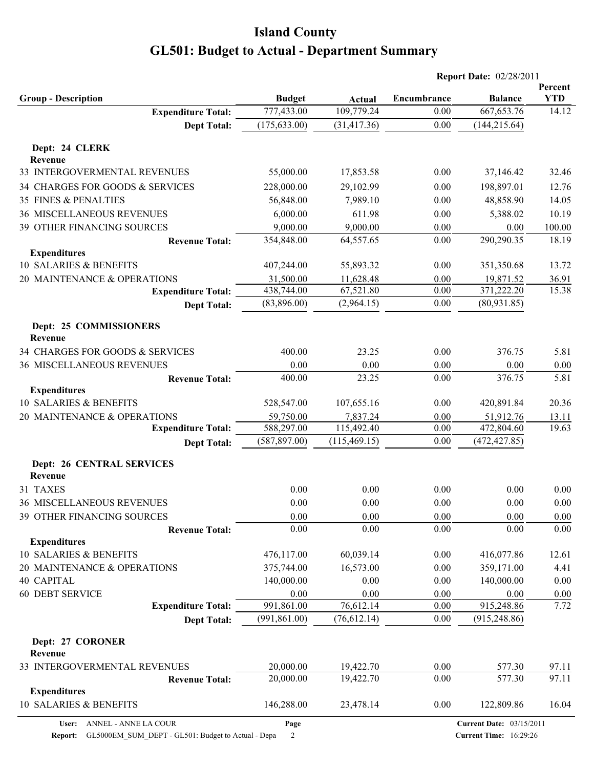|                                             |               |               |             | <b>Report Date: 02/28/2011</b>  |                       |
|---------------------------------------------|---------------|---------------|-------------|---------------------------------|-----------------------|
| <b>Group - Description</b>                  | <b>Budget</b> | <b>Actual</b> | Encumbrance | <b>Balance</b>                  | Percent<br><b>YTD</b> |
| <b>Expenditure Total:</b>                   | 777,433.00    | 109,779.24    | 0.00        | 667, 653.76                     | 14.12                 |
| <b>Dept Total:</b>                          | (175, 633.00) | (31, 417.36)  | 0.00        | (144, 215.64)                   |                       |
| Dept: 24 CLERK<br>Revenue                   |               |               |             |                                 |                       |
| 33 INTERGOVERMENTAL REVENUES                | 55,000.00     | 17,853.58     | 0.00        | 37,146.42                       | 32.46                 |
| 34 CHARGES FOR GOODS & SERVICES             | 228,000.00    | 29,102.99     | 0.00        | 198,897.01                      | 12.76                 |
| <b>35 FINES &amp; PENALTIES</b>             | 56,848.00     | 7,989.10      | 0.00        | 48,858.90                       | 14.05                 |
| <b>36 MISCELLANEOUS REVENUES</b>            | 6,000.00      | 611.98        | 0.00        | 5,388.02                        | 10.19                 |
| 39 OTHER FINANCING SOURCES                  | 9,000.00      | 9,000.00      | $0.00\,$    | 0.00                            | 100.00                |
| <b>Revenue Total:</b>                       | 354,848.00    | 64,557.65     | 0.00        | 290,290.35                      | 18.19                 |
| <b>Expenditures</b>                         |               |               |             |                                 |                       |
| 10 SALARIES & BENEFITS                      | 407,244.00    | 55,893.32     | 0.00        | 351,350.68                      | 13.72                 |
| 20 MAINTENANCE & OPERATIONS                 | 31,500.00     | 11,628.48     | 0.00        | 19,871.52                       | 36.91                 |
| <b>Expenditure Total:</b>                   | 438,744.00    | 67,521.80     | 0.00        | 371,222.20                      | 15.38                 |
| <b>Dept Total:</b>                          | (83,896.00)   | (2,964.15)    | 0.00        | (80,931.85)                     |                       |
| Dept: 25 COMMISSIONERS<br>Revenue           |               |               |             |                                 |                       |
| 34 CHARGES FOR GOODS & SERVICES             | 400.00        | 23.25         | 0.00        | 376.75                          | 5.81                  |
| <b>36 MISCELLANEOUS REVENUES</b>            | 0.00          | 0.00          | 0.00        | 0.00                            | 0.00                  |
| <b>Revenue Total:</b>                       | 400.00        | 23.25         | 0.00        | 376.75                          | 5.81                  |
| <b>Expenditures</b>                         |               |               |             |                                 |                       |
| 10 SALARIES & BENEFITS                      | 528,547.00    | 107,655.16    | 0.00        | 420,891.84                      | 20.36                 |
| 20 MAINTENANCE & OPERATIONS                 | 59,750.00     | 7,837.24      | 0.00        | 51,912.76                       | 13.11                 |
| <b>Expenditure Total:</b>                   | 588,297.00    | 115,492.40    | 0.00        | 472,804.60                      | 19.63                 |
| <b>Dept Total:</b>                          | (587, 897.00) | (115, 469.15) | 0.00        | (472, 427.85)                   |                       |
| <b>Dept: 26 CENTRAL SERVICES</b><br>Revenue |               |               |             |                                 |                       |
| 31 TAXES                                    | 0.00          | 0.00          | 0.00        | 0.00                            | 0.00                  |
| <b>36 MISCELLANEOUS REVENUES</b>            | 0.00          | 0.00          | 0.00        | 0.00                            | 0.00                  |
| 39 OTHER FINANCING SOURCES                  | 0.00          | 0.00          | 0.00        | 0.00                            | 0.00                  |
| <b>Revenue Total:</b>                       | 0.00          | 0.00          | 0.00        | 0.00                            | 0.00                  |
| <b>Expenditures</b>                         |               |               |             |                                 |                       |
| 10 SALARIES & BENEFITS                      | 476,117.00    | 60,039.14     | 0.00        | 416,077.86                      | 12.61                 |
| 20 MAINTENANCE & OPERATIONS                 | 375,744.00    | 16,573.00     | 0.00        | 359,171.00                      | 4.41                  |
| 40 CAPITAL                                  | 140,000.00    | 0.00          | 0.00        | 140,000.00                      | 0.00                  |
| <b>60 DEBT SERVICE</b>                      | 0.00          | 0.00          | 0.00        | 0.00                            | 0.00                  |
| <b>Expenditure Total:</b>                   | 991,861.00    | 76,612.14     | 0.00        | 915,248.86                      | 7.72                  |
| <b>Dept Total:</b>                          | (991, 861.00) | (76, 612.14)  | 0.00        | (915, 248.86)                   |                       |
| Dept: 27 CORONER<br>Revenue                 |               |               |             |                                 |                       |
| 33 INTERGOVERMENTAL REVENUES                | 20,000.00     | 19,422.70     | 0.00        | 577.30                          | 97.11                 |
| <b>Revenue Total:</b>                       | 20,000.00     | 19,422.70     | 0.00        | 577.30                          | 97.11                 |
| <b>Expenditures</b>                         |               |               |             |                                 |                       |
| 10 SALARIES & BENEFITS                      | 146,288.00    | 23,478.14     | 0.00        | 122,809.86                      | 16.04                 |
| ANNEL - ANNE LA COUR<br>User:               | Page          |               |             | <b>Current Date: 03/15/2011</b> |                       |

**User:** ANNEL - ANNE LA COUR

**Report:** GL5000EM\_SUM\_DEPT - GL501: Budget to Actual - Depa 2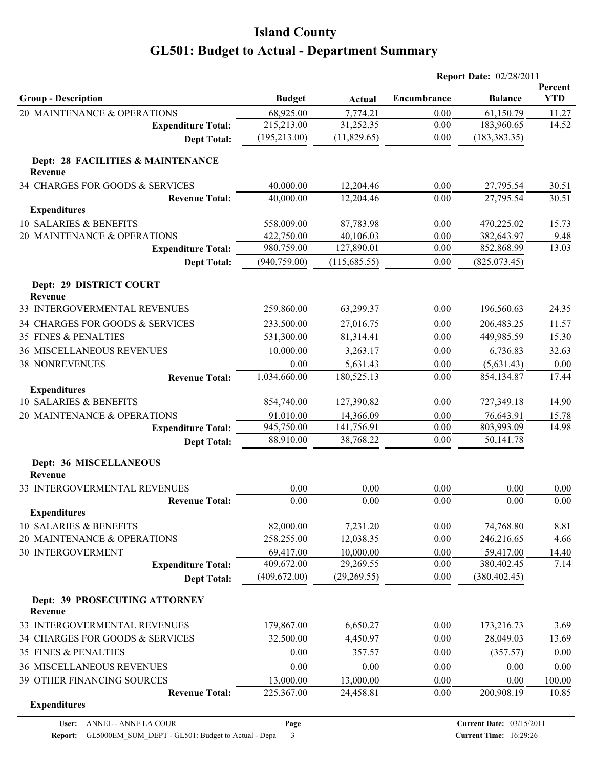|                                              |                             |                           |              | <b>Report Date: 02/28/2011</b> |                       |
|----------------------------------------------|-----------------------------|---------------------------|--------------|--------------------------------|-----------------------|
| <b>Group - Description</b>                   | <b>Budget</b>               | Actual                    | Encumbrance  | <b>Balance</b>                 | Percent<br><b>YTD</b> |
| 20 MAINTENANCE & OPERATIONS                  | 68,925.00                   | 7,774.21                  | 0.00         | 61,150.79                      | 11.27                 |
| <b>Expenditure Total:</b>                    | 215,213.00                  | 31,252.35                 | 0.00         | 183,960.65                     | 14.52                 |
| <b>Dept Total:</b>                           | (195, 213.00)               | (11,829.65)               | 0.00         | (183, 383.35)                  |                       |
| Dept: 28 FACILITIES & MAINTENANCE<br>Revenue |                             |                           |              |                                |                       |
| 34 CHARGES FOR GOODS & SERVICES              | 40,000.00                   | 12,204.46                 | 0.00         | 27,795.54                      | 30.51                 |
| <b>Revenue Total:</b>                        | 40,000.00                   | 12,204.46                 | 0.00         | 27,795.54                      | 30.51                 |
| <b>Expenditures</b>                          |                             |                           |              |                                |                       |
| 10 SALARIES & BENEFITS                       | 558,009.00                  | 87,783.98                 | 0.00         | 470,225.02                     | 15.73                 |
| 20 MAINTENANCE & OPERATIONS                  | 422,750.00                  | 40,106.03                 | 0.00         | 382,643.97                     | 9.48                  |
| <b>Expenditure Total:</b>                    | 980,759.00                  | 127,890.01                | 0.00         | 852,868.99                     | 13.03                 |
| <b>Dept Total:</b>                           | (940, 759.00)               | (115, 685.55)             | 0.00         | (825,073.45)                   |                       |
| Dept: 29 DISTRICT COURT<br>Revenue           |                             |                           |              |                                |                       |
| 33 INTERGOVERMENTAL REVENUES                 | 259,860.00                  | 63,299.37                 | 0.00         | 196,560.63                     | 24.35                 |
| 34 CHARGES FOR GOODS & SERVICES              | 233,500.00                  | 27,016.75                 | 0.00         | 206,483.25                     | 11.57                 |
| 35 FINES & PENALTIES                         | 531,300.00                  | 81,314.41                 | 0.00         | 449,985.59                     | 15.30                 |
| <b>36 MISCELLANEOUS REVENUES</b>             | 10,000.00                   | 3,263.17                  | 0.00         | 6,736.83                       | 32.63                 |
| <b>38 NONREVENUES</b>                        | 0.00                        | 5,631.43                  | 0.00         | (5,631.43)                     | 0.00                  |
| <b>Revenue Total:</b>                        | 1,034,660.00                | 180,525.13                | 0.00         | 854,134.87                     | 17.44                 |
| <b>Expenditures</b>                          |                             |                           |              |                                |                       |
| 10 SALARIES & BENEFITS                       | 854,740.00                  | 127,390.82                | 0.00         | 727,349.18                     | 14.90                 |
| 20 MAINTENANCE & OPERATIONS                  | 91,010.00                   | 14,366.09                 | 0.00         | 76,643.91                      | 15.78                 |
| <b>Expenditure Total:</b>                    | 945,750.00                  | 141,756.91                | 0.00         | 803,993.09                     | 14.98                 |
| <b>Dept Total:</b>                           | 88,910.00                   | 38,768.22                 | 0.00         | 50,141.78                      |                       |
| Dept: 36 MISCELLANEOUS<br>Revenue            |                             |                           |              |                                |                       |
| 33 INTERGOVERMENTAL REVENUES                 | 0.00                        | 0.00                      | 0.00         | 0.00                           | 0.00                  |
| <b>Revenue Total:</b>                        | 0.00                        | 0.00                      | 0.00         | 0.00                           | 0.00                  |
| <b>Expenditures</b>                          |                             |                           |              |                                |                       |
| 10 SALARIES & BENEFITS                       | 82,000.00                   | 7,231.20                  | 0.00         | 74,768.80                      | 8.81                  |
| 20 MAINTENANCE & OPERATIONS                  | 258,255.00                  | 12,038.35                 | 0.00         | 246,216.65                     | 4.66                  |
| <b>30 INTERGOVERMENT</b>                     | 69,417.00                   | 10,000.00                 | 0.00         | 59,417.00                      | 14.40                 |
| <b>Expenditure Total:</b>                    | 409,672.00<br>(409, 672.00) | 29,269.55<br>(29, 269.55) | 0.00<br>0.00 | 380,402.45<br>(380, 402.45)    | 7.14                  |
| <b>Dept Total:</b>                           |                             |                           |              |                                |                       |
| Dept: 39 PROSECUTING ATTORNEY<br>Revenue     |                             |                           |              |                                |                       |
| 33 INTERGOVERMENTAL REVENUES                 | 179,867.00                  | 6,650.27                  | 0.00         | 173,216.73                     | 3.69                  |
| 34 CHARGES FOR GOODS & SERVICES              | 32,500.00                   | 4,450.97                  | 0.00         | 28,049.03                      | 13.69                 |
| 35 FINES & PENALTIES                         | 0.00                        | 357.57                    | 0.00         | (357.57)                       | 0.00                  |
| <b>36 MISCELLANEOUS REVENUES</b>             | 0.00                        | 0.00                      | 0.00         | 0.00                           | 0.00                  |
| 39 OTHER FINANCING SOURCES                   | 13,000.00                   | 13,000.00                 | 0.00         | 0.00                           | 100.00                |
| <b>Revenue Total:</b><br><b>Expenditures</b> | 225,367.00                  | 24,458.81                 | 0.00         | 200,908.19                     | 10.85                 |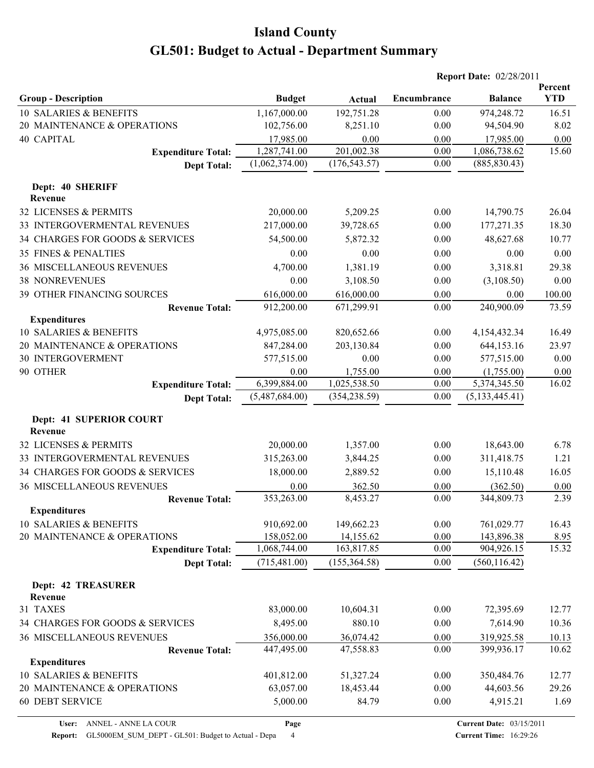|                                              |                          |                          |              | <b>Report Date: 02/28/2011</b> |                       |
|----------------------------------------------|--------------------------|--------------------------|--------------|--------------------------------|-----------------------|
| <b>Group - Description</b>                   | <b>Budget</b>            | Actual                   | Encumbrance  | <b>Balance</b>                 | Percent<br><b>YTD</b> |
| 10 SALARIES & BENEFITS                       | 1,167,000.00             | 192,751.28               | 0.00         | 974,248.72                     | 16.51                 |
| 20 MAINTENANCE & OPERATIONS                  | 102,756.00               | 8,251.10                 | 0.00         | 94,504.90                      | 8.02                  |
| <b>40 CAPITAL</b>                            | 17,985.00                | 0.00                     | 0.00         | 17,985.00                      | 0.00                  |
| <b>Expenditure Total:</b>                    | 1,287,741.00             | 201,002.38               | 0.00         | 1,086,738.62                   | 15.60                 |
| <b>Dept Total:</b>                           | (1,062,374.00)           | (176, 543.57)            | 0.00         | (885, 830.43)                  |                       |
| Dept: 40 SHERIFF<br>Revenue                  |                          |                          |              |                                |                       |
| 32 LICENSES & PERMITS                        | 20,000.00                | 5,209.25                 | 0.00         | 14,790.75                      | 26.04                 |
| 33 INTERGOVERMENTAL REVENUES                 | 217,000.00               | 39,728.65                | 0.00         | 177,271.35                     | 18.30                 |
| 34 CHARGES FOR GOODS & SERVICES              | 54,500.00                | 5,872.32                 | 0.00         | 48,627.68                      | 10.77                 |
| 35 FINES & PENALTIES                         | 0.00                     | 0.00                     | 0.00         | 0.00                           | 0.00                  |
| <b>36 MISCELLANEOUS REVENUES</b>             | 4,700.00                 | 1,381.19                 | 0.00         | 3,318.81                       | 29.38                 |
| <b>38 NONREVENUES</b>                        | 0.00                     | 3,108.50                 | 0.00         | (3,108.50)                     | 0.00                  |
| 39 OTHER FINANCING SOURCES                   |                          |                          | 0.00         |                                |                       |
| <b>Revenue Total:</b>                        | 616,000.00<br>912,200.00 | 616,000.00<br>671,299.91 | 0.00         | 0.00<br>240,900.09             | 100.00<br>73.59       |
| <b>Expenditures</b>                          |                          |                          |              |                                |                       |
| 10 SALARIES & BENEFITS                       | 4,975,085.00             | 820,652.66               | 0.00         | 4,154,432.34                   | 16.49                 |
| 20 MAINTENANCE & OPERATIONS                  | 847,284.00               | 203,130.84               | 0.00         | 644,153.16                     | 23.97                 |
| <b>30 INTERGOVERMENT</b>                     | 577,515.00               | 0.00                     | 0.00         | 577,515.00                     | 0.00                  |
| 90 OTHER                                     | 0.00                     | 1,755.00                 | 0.00         | (1,755.00)                     | 0.00                  |
| <b>Expenditure Total:</b>                    | 6,399,884.00             | 1,025,538.50             | 0.00         | 5,374,345.50                   | 16.02                 |
| <b>Dept Total:</b>                           | (5,487,684.00)           | (354, 238.59)            | 0.00         | (5, 133, 445.41)               |                       |
| Dept: 41 SUPERIOR COURT<br>Revenue           |                          |                          |              |                                |                       |
| 32 LICENSES & PERMITS                        | 20,000.00                | 1,357.00                 | 0.00         | 18,643.00                      | 6.78                  |
| 33 INTERGOVERMENTAL REVENUES                 | 315,263.00               | 3,844.25                 | 0.00         | 311,418.75                     | 1.21                  |
|                                              |                          |                          |              | 15,110.48                      |                       |
| 34 CHARGES FOR GOODS & SERVICES              | 18,000.00                | 2,889.52                 | 0.00         |                                | 16.05                 |
| <b>36 MISCELLANEOUS REVENUES</b>             | 0.00                     | 362.50                   | 0.00<br>0.00 | (362.50)<br>344,809.73         | 0.00<br>2.39          |
| <b>Revenue Total:</b><br><b>Expenditures</b> | 353,263.00               | 8,453.27                 |              |                                |                       |
| 10 SALARIES & BENEFITS                       | 910,692.00               | 149,662.23               | 0.00         | 761,029.77                     | 16.43                 |
| 20 MAINTENANCE & OPERATIONS                  | 158,052.00               | 14,155.62                | 0.00         | 143,896.38                     | 8.95                  |
| <b>Expenditure Total:</b>                    | 1,068,744.00             | 163,817.85               | 0.00         | 904,926.15                     | 15.32                 |
| <b>Dept Total:</b>                           | (715, 481.00)            | (155, 364.58)            | 0.00         | (560, 116.42)                  |                       |
| <b>Dept: 42 TREASURER</b><br>Revenue         |                          |                          |              |                                |                       |
| 31 TAXES                                     | 83,000.00                | 10,604.31                | 0.00         | 72,395.69                      | 12.77                 |
| 34 CHARGES FOR GOODS & SERVICES              | 8,495.00                 | 880.10                   | 0.00         | 7,614.90                       | 10.36                 |
| 36 MISCELLANEOUS REVENUES                    | 356,000.00               | 36,074.42                | 0.00         | 319,925.58                     | 10.13                 |
| <b>Revenue Total:</b>                        | 447,495.00               | 47,558.83                | 0.00         | 399,936.17                     | 10.62                 |
| <b>Expenditures</b>                          |                          |                          |              |                                |                       |
| 10 SALARIES & BENEFITS                       | 401,812.00               | 51,327.24                | 0.00         | 350,484.76                     | 12.77                 |
| 20 MAINTENANCE & OPERATIONS                  | 63,057.00                | 18,453.44                | 0.00         | 44,603.56                      | 29.26                 |
| <b>60 DEBT SERVICE</b>                       | 5,000.00                 | 84.79                    | 0.00         | 4,915.21                       | 1.69                  |

**Report:** GL5000EM\_SUM\_DEPT - GL501: Budget to Actual - Depa 4

**Page**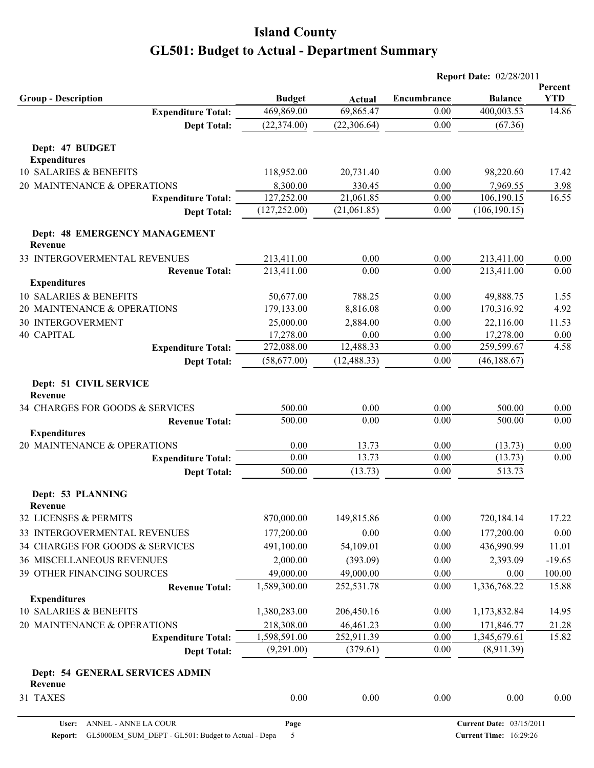|                                                 |                             |                            |                     | <b>Report Date: 02/28/2011</b> |                     |
|-------------------------------------------------|-----------------------------|----------------------------|---------------------|--------------------------------|---------------------|
|                                                 |                             |                            |                     |                                | Percent             |
| <b>Group - Description</b>                      | <b>Budget</b><br>469,869.00 | <b>Actual</b><br>69,865.47 | Encumbrance<br>0.00 | <b>Balance</b><br>400,003.53   | <b>YTD</b><br>14.86 |
| <b>Expenditure Total:</b><br><b>Dept Total:</b> | (22, 374.00)                | (22, 306.64)               | 0.00                | (67.36)                        |                     |
|                                                 |                             |                            |                     |                                |                     |
| Dept: 47 BUDGET                                 |                             |                            |                     |                                |                     |
| <b>Expenditures</b>                             |                             |                            |                     |                                |                     |
| 10 SALARIES & BENEFITS                          | 118,952.00                  | 20,731.40                  | 0.00                | 98,220.60                      | 17.42               |
| 20 MAINTENANCE & OPERATIONS                     | 8,300.00                    | 330.45                     | 0.00                | 7,969.55                       | 3.98                |
| <b>Expenditure Total:</b>                       | 127,252.00                  | 21,061.85                  | 0.00                | 106,190.15                     | 16.55               |
| <b>Dept Total:</b>                              | (127, 252.00)               | (21,061.85)                | 0.00                | (106, 190.15)                  |                     |
| Dept: 48 EMERGENCY MANAGEMENT<br>Revenue        |                             |                            |                     |                                |                     |
| 33 INTERGOVERMENTAL REVENUES                    | 213,411.00                  | 0.00                       | 0.00                | 213,411.00                     | 0.00                |
| <b>Revenue Total:</b>                           | 213,411.00                  | 0.00                       | 0.00                | 213,411.00                     | 0.00                |
| <b>Expenditures</b>                             |                             |                            |                     |                                |                     |
| 10 SALARIES & BENEFITS                          | 50,677.00                   | 788.25                     | 0.00                | 49,888.75                      | 1.55                |
| 20 MAINTENANCE & OPERATIONS                     | 179,133.00                  | 8,816.08                   | 0.00                | 170,316.92                     | 4.92                |
| 30 INTERGOVERMENT                               | 25,000.00                   | 2,884.00                   | 0.00                | 22,116.00                      | 11.53               |
| 40 CAPITAL                                      | 17,278.00                   | 0.00                       | 0.00                | 17,278.00                      | 0.00                |
| <b>Expenditure Total:</b>                       | 272,088.00                  | 12,488.33                  | 0.00                | 259,599.67                     | 4.58                |
| <b>Dept Total:</b>                              | (58,677.00)                 | (12, 488.33)               | 0.00                | (46, 188.67)                   |                     |
| Dept: 51 CIVIL SERVICE                          |                             |                            |                     |                                |                     |
| Revenue                                         |                             |                            |                     |                                |                     |
| 34 CHARGES FOR GOODS & SERVICES                 | 500.00                      | 0.00                       | 0.00                | 500.00                         | 0.00                |
| <b>Revenue Total:</b>                           | 500.00                      | 0.00                       | 0.00                | 500.00                         | 0.00                |
| <b>Expenditures</b>                             |                             |                            |                     |                                |                     |
| 20 MAINTENANCE & OPERATIONS                     | 0.00                        | 13.73                      | 0.00                | (13.73)                        | 0.00                |
| <b>Expenditure Total:</b>                       | 0.00                        | 13.73                      | 0.00                | (13.73)                        | 0.00                |
| <b>Dept Total:</b>                              | 500.00                      | (13.73)                    | 0.00                | 513.73                         |                     |
| Dept: 53 PLANNING                               |                             |                            |                     |                                |                     |
| Revenue                                         |                             |                            |                     |                                |                     |
| 32 LICENSES & PERMITS                           | 870,000.00                  | 149,815.86                 | $0.00\,$            | 720,184.14                     | 17.22               |
| 33 INTERGOVERMENTAL REVENUES                    | 177,200.00                  | 0.00                       | 0.00                | 177,200.00                     | 0.00                |
| 34 CHARGES FOR GOODS & SERVICES                 | 491,100.00                  | 54,109.01                  | 0.00                | 436,990.99                     | 11.01               |
| 36 MISCELLANEOUS REVENUES                       | 2,000.00                    | (393.09)                   | 0.00                | 2,393.09                       | $-19.65$            |
| 39 OTHER FINANCING SOURCES                      | 49,000.00                   | 49,000.00                  | 0.00                | 0.00                           | 100.00              |
| <b>Revenue Total:</b>                           | 1,589,300.00                | 252,531.78                 | 0.00                | 1,336,768.22                   | 15.88               |
| <b>Expenditures</b>                             |                             |                            |                     |                                |                     |
| 10 SALARIES & BENEFITS                          | 1,380,283.00                | 206,450.16                 | $0.00\,$            | 1,173,832.84                   | 14.95               |
| 20 MAINTENANCE & OPERATIONS                     | 218,308.00                  | 46,461.23                  | 0.00                | 171,846.77                     | 21.28               |
| <b>Expenditure Total:</b>                       | 1,598,591.00                | 252,911.39                 | 0.00                | 1,345,679.61                   | 15.82               |
| <b>Dept Total:</b>                              | (9,291.00)                  | (379.61)                   | 0.00                | (8,911.39)                     |                     |
| Dept: 54 GENERAL SERVICES ADMIN                 |                             |                            |                     |                                |                     |
| Revenue                                         |                             |                            |                     |                                |                     |
| 31 TAXES                                        | 0.00                        | $0.00\,$                   | $0.00\,$            | 0.00                           | 0.00                |
|                                                 |                             |                            |                     |                                |                     |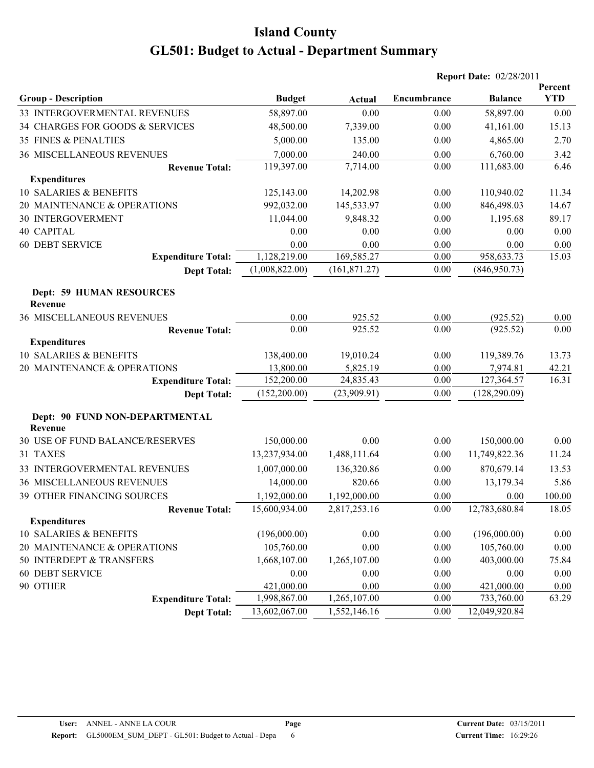|                                                  |                |               |             | <b>Report Date: 02/28/2011</b> |                       |
|--------------------------------------------------|----------------|---------------|-------------|--------------------------------|-----------------------|
| <b>Group - Description</b>                       | <b>Budget</b>  | Actual        | Encumbrance | <b>Balance</b>                 | Percent<br><b>YTD</b> |
| 33 INTERGOVERMENTAL REVENUES                     | 58,897.00      | 0.00          | 0.00        | 58,897.00                      | 0.00                  |
| 34 CHARGES FOR GOODS & SERVICES                  | 48,500.00      | 7,339.00      | 0.00        | 41,161.00                      | 15.13                 |
| <b>35 FINES &amp; PENALTIES</b>                  | 5,000.00       | 135.00        | 0.00        | 4,865.00                       | 2.70                  |
| <b>36 MISCELLANEOUS REVENUES</b>                 | 7,000.00       | 240.00        | 0.00        | 6,760.00                       | 3.42                  |
| <b>Revenue Total:</b>                            | 119,397.00     | 7,714.00      | 0.00        | 111,683.00                     | 6.46                  |
| <b>Expenditures</b>                              |                |               |             |                                |                       |
| 10 SALARIES & BENEFITS                           | 125,143.00     | 14,202.98     | 0.00        | 110,940.02                     | 11.34                 |
| 20 MAINTENANCE & OPERATIONS                      | 992,032.00     | 145,533.97    | 0.00        | 846,498.03                     | 14.67                 |
| <b>30 INTERGOVERMENT</b>                         | 11,044.00      | 9,848.32      | 0.00        | 1,195.68                       | 89.17                 |
| <b>40 CAPITAL</b>                                | 0.00           | 0.00          | 0.00        | 0.00                           | 0.00                  |
| <b>60 DEBT SERVICE</b>                           | 0.00           | 0.00          | 0.00        | 0.00                           | 0.00                  |
| <b>Expenditure Total:</b>                        | 1,128,219.00   | 169,585.27    | 0.00        | 958,633.73                     | 15.03                 |
| <b>Dept Total:</b>                               | (1,008,822.00) | (161, 871.27) | 0.00        | (846,950.73)                   |                       |
| <b>Dept: 59 HUMAN RESOURCES</b><br>Revenue       |                |               |             |                                |                       |
| <b>36 MISCELLANEOUS REVENUES</b>                 | 0.00           | 925.52        | 0.00        | (925.52)                       | 0.00                  |
| <b>Revenue Total:</b>                            | 0.00           | 925.52        | 0.00        | (925.52)                       | 0.00                  |
| <b>Expenditures</b>                              |                |               |             |                                |                       |
| 10 SALARIES & BENEFITS                           | 138,400.00     | 19,010.24     | 0.00        | 119,389.76                     | 13.73                 |
| 20 MAINTENANCE & OPERATIONS                      | 13,800.00      | 5,825.19      | 0.00        | 7,974.81                       | 42.21                 |
| <b>Expenditure Total:</b>                        | 152,200.00     | 24,835.43     | 0.00        | 127,364.57                     | 16.31                 |
| <b>Dept Total:</b>                               | (152,200.00)   | (23,909.91)   | 0.00        | (128, 290.09)                  |                       |
| Dept: 90 FUND NON-DEPARTMENTAL<br><b>Revenue</b> |                |               |             |                                |                       |
| 30 USE OF FUND BALANCE/RESERVES                  | 150,000.00     | 0.00          | 0.00        | 150,000.00                     | 0.00                  |
| 31 TAXES                                         | 13,237,934.00  | 1,488,111.64  | 0.00        | 11,749,822.36                  | 11.24                 |
| 33 INTERGOVERMENTAL REVENUES                     | 1,007,000.00   | 136,320.86    | 0.00        | 870,679.14                     | 13.53                 |
| <b>36 MISCELLANEOUS REVENUES</b>                 | 14,000.00      | 820.66        | 0.00        | 13,179.34                      | 5.86                  |
| 39 OTHER FINANCING SOURCES                       | 1,192,000.00   | 1,192,000.00  | 0.00        | 0.00                           | 100.00                |
| <b>Revenue Total:</b>                            | 15,600,934.00  | 2,817,253.16  | 0.00        | 12,783,680.84                  | 18.05                 |
| <b>Expenditures</b>                              |                |               |             |                                |                       |
| 10 SALARIES & BENEFITS                           | (196,000.00)   | 0.00          | 0.00        | (196,000.00)                   | $0.00\,$              |
| 20 MAINTENANCE & OPERATIONS                      | 105,760.00     | 0.00          | 0.00        | 105,760.00                     | 0.00                  |
| 50 INTERDEPT & TRANSFERS                         | 1,668,107.00   | 1,265,107.00  | 0.00        | 403,000.00                     | 75.84                 |
| <b>60 DEBT SERVICE</b>                           | 0.00           | 0.00          | 0.00        | 0.00                           | 0.00                  |
| 90 OTHER                                         | 421,000.00     | 0.00          | 0.00        | 421,000.00                     | 0.00                  |
| <b>Expenditure Total:</b>                        | 1,998,867.00   | 1,265,107.00  | 0.00        | 733,760.00                     | 63.29                 |
| <b>Dept Total:</b>                               | 13,602,067.00  | 1,552,146.16  | 0.00        | 12,049,920.84                  |                       |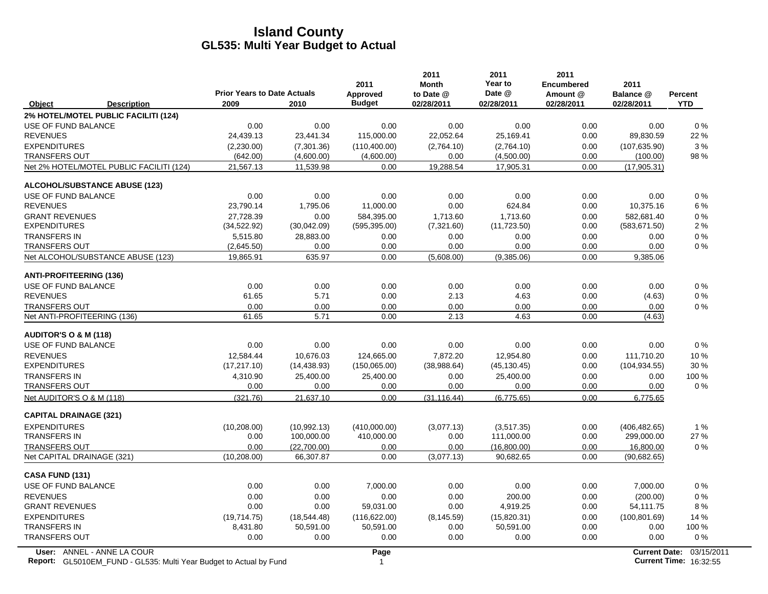|                                                                                                         | <b>Prior Years to Date Actuals</b> |              | 2011<br>Approved | 2011<br><b>Month</b><br>to Date @ | 2011<br>Year to<br>Date @ | 2011<br><b>Encumbered</b><br>Amount @ | 2011<br>Balance @    | <b>Percent</b>                              |
|---------------------------------------------------------------------------------------------------------|------------------------------------|--------------|------------------|-----------------------------------|---------------------------|---------------------------------------|----------------------|---------------------------------------------|
| Object<br><b>Description</b>                                                                            | 2009                               | 2010         | <b>Budget</b>    | 02/28/2011                        | 02/28/2011                | 02/28/2011                            | 02/28/2011           | <b>YTD</b>                                  |
| 2% HOTEL/MOTEL PUBLIC FACILITI (124)                                                                    |                                    |              |                  |                                   |                           |                                       |                      |                                             |
| USE OF FUND BALANCE                                                                                     | 0.00                               | 0.00         | 0.00             | 0.00                              | 0.00                      | 0.00                                  | 0.00                 | 0%                                          |
| <b>REVENUES</b>                                                                                         | 24,439.13                          | 23,441.34    | 115,000.00       | 22,052.64                         | 25,169.41                 | 0.00                                  | 89,830.59            | 22 %                                        |
| <b>EXPENDITURES</b>                                                                                     | (2,230.00)                         | (7,301.36)   | (110, 400.00)    | (2,764.10)                        | (2,764.10)                | 0.00                                  | (107, 635.90)        | 3%                                          |
| <b>TRANSFERS OUT</b>                                                                                    | (642.00)                           | (4,600.00)   | (4,600.00)       | 0.00                              | (4,500.00)                | 0.00                                  | (100.00)             | 98 %                                        |
| Net 2% HOTEL/MOTEL PUBLIC FACILITI (124)                                                                | 21,567.13                          | 11.539.98    | 0.00             | 19,288.54                         | 17,905.31                 | 0.00                                  | (17,905.31)          |                                             |
| <b>ALCOHOL/SUBSTANCE ABUSE (123)</b>                                                                    |                                    |              |                  |                                   |                           |                                       |                      |                                             |
| USE OF FUND BALANCE                                                                                     | 0.00                               | 0.00         | 0.00             | 0.00                              | 0.00                      | 0.00                                  | 0.00                 | $0\%$                                       |
| <b>REVENUES</b>                                                                                         | 23,790.14                          | 1,795.06     | 11,000.00        | 0.00                              | 624.84                    | 0.00                                  | 10,375.16            | 6 %                                         |
| <b>GRANT REVENUES</b>                                                                                   | 27,728.39                          | 0.00         | 584,395.00       | 1,713.60                          | 1,713.60                  | 0.00                                  | 582,681.40           | 0%                                          |
| <b>EXPENDITURES</b>                                                                                     | (34, 522.92)                       | (30,042.09)  | (595, 395.00)    | (7,321.60)                        | (11, 723.50)              | 0.00                                  | (583, 671.50)        | 2%                                          |
| <b>TRANSFERS IN</b>                                                                                     | 5,515.80                           | 28,883.00    | 0.00             | 0.00                              | 0.00                      | 0.00                                  | 0.00                 | 0%                                          |
| <b>TRANSFERS OUT</b>                                                                                    | (2,645.50)                         | 0.00         | 0.00             | 0.00                              | 0.00                      | 0.00                                  | 0.00                 | $0\%$                                       |
| Net ALCOHOL/SUBSTANCE ABUSE (123)                                                                       | 19,865.91                          | 635.97       | 0.00             | (5,608.00)                        | (9,385.06)                | 0.00                                  | 9,385.06             |                                             |
| <b>ANTI-PROFITEERING (136)</b>                                                                          |                                    |              |                  |                                   |                           |                                       |                      |                                             |
| USE OF FUND BALANCE                                                                                     | 0.00                               | 0.00         | 0.00             | 0.00                              | 0.00                      | 0.00                                  | 0.00                 | $0\%$                                       |
| <b>REVENUES</b>                                                                                         | 61.65                              | 5.71         | 0.00             | 2.13                              | 4.63                      | 0.00                                  | (4.63)               | $0\%$                                       |
| <b>TRANSFERS OUT</b>                                                                                    | 0.00                               | 0.00         | 0.00             | 0.00                              | 0.00                      | 0.00                                  | 0.00                 | $0\%$                                       |
| Net ANTI-PROFITEERING (136)                                                                             | 61.65                              | 5.71         | 0.00             | 2.13                              | 4.63                      | 0.00                                  | (4.63)               |                                             |
| <b>AUDITOR'S O &amp; M (118)</b>                                                                        |                                    |              |                  |                                   |                           |                                       |                      |                                             |
| USE OF FUND BALANCE                                                                                     | 0.00                               | 0.00         | 0.00             | 0.00                              | 0.00                      | 0.00                                  | 0.00                 | $0\%$                                       |
| <b>REVENUES</b>                                                                                         | 12,584.44                          | 10,676.03    | 124,665.00       | 7,872.20                          | 12,954.80                 | 0.00                                  | 111,710.20           | 10%                                         |
| <b>EXPENDITURES</b>                                                                                     | (17, 217, 10)                      | (14, 438.93) | (150,065.00)     | (38,988.64)                       | (45, 130.45)              | 0.00                                  | (104, 934.55)        | 30 %                                        |
| <b>TRANSFERS IN</b>                                                                                     | 4,310.90                           | 25,400.00    | 25,400.00        | 0.00                              | 25,400.00                 | 0.00                                  | 0.00                 | 100 %                                       |
| <b>TRANSFERS OUT</b>                                                                                    | 0.00                               | 0.00         | 0.00             | 0.00                              | 0.00                      | 0.00                                  | 0.00                 | $0\%$                                       |
| Net AUDITOR'S O & M (118)                                                                               | (321.76)                           | 21,637.10    | 0.00             | (31.116.44)                       | (6.775.65)                | 0.00                                  | 6,775.65             |                                             |
| <b>CAPITAL DRAINAGE (321)</b>                                                                           |                                    |              |                  |                                   |                           |                                       |                      |                                             |
| <b>EXPENDITURES</b>                                                                                     | (10, 208.00)                       | (10,992.13)  | (410,000.00)     | (3,077.13)                        | (3,517.35)                | 0.00                                  | (406, 482.65)        | 1%                                          |
| <b>TRANSFERS IN</b>                                                                                     | 0.00                               | 100,000.00   | 410,000.00       | 0.00                              | 111,000.00                | 0.00                                  | 299,000.00           | 27 %                                        |
| <b>TRANSFERS OUT</b>                                                                                    | 0.00                               | (22.700.00)  | 0.00             | 0.00                              | (16,800.00)               | 0.00                                  | 16,800.00            | 0%                                          |
| Net CAPITAL DRAINAGE (321)                                                                              | (10, 208.00)                       | 66,307.87    | 0.00             | (3,077.13)                        | 90,682.65                 | 0.00                                  | (90,682.65)          |                                             |
| CASA FUND (131)                                                                                         |                                    |              |                  |                                   |                           |                                       |                      |                                             |
| USE OF FUND BALANCE                                                                                     | 0.00                               | 0.00         | 7,000.00         | 0.00                              | 0.00                      | 0.00                                  | 7,000.00             | 0%                                          |
| <b>REVENUES</b>                                                                                         | 0.00                               | 0.00         | 0.00             | 0.00                              | 200.00                    | 0.00                                  | (200.00)             | 0%                                          |
| <b>GRANT REVENUES</b>                                                                                   | 0.00                               | 0.00         | 59,031.00        | 0.00                              | 4,919.25                  | 0.00                                  | 54,111.75            | 8%                                          |
| <b>EXPENDITURES</b>                                                                                     | (19,714.75)                        | (18, 544.48) | (116, 622.00)    | (8, 145.59)                       | (15,820.31)               | 0.00                                  | (100, 801.69)        | 14 %                                        |
| <b>TRANSFERS IN</b>                                                                                     | 8,431.80                           | 50,591.00    | 50,591.00        | 0.00                              | 50,591.00                 | 0.00                                  | 0.00                 | 100 %                                       |
| <b>TRANSFERS OUT</b>                                                                                    | 0.00                               | 0.00         | 0.00             | 0.00                              | 0.00                      | 0.00                                  | 0.00                 | 0%                                          |
| User: ANNEL - ANNE LA COUR<br><b>Report:</b> GL5010EM_FUND - GL535: Multi Year Budget to Actual by Fund |                                    |              | Page             |                                   |                           |                                       | <b>Current Date:</b> | 03/15/2011<br><b>Current Time: 16:32:55</b> |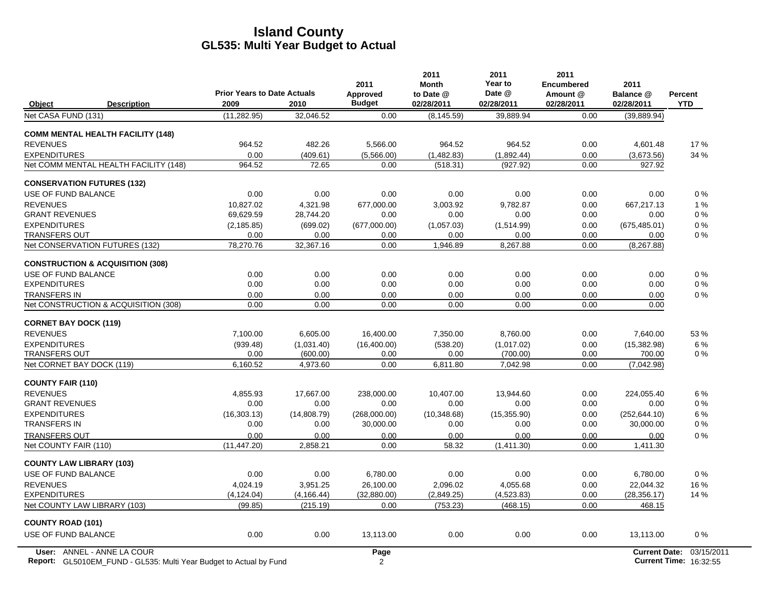|                                                                    | <b>Prior Years to Date Actuals</b> |             | 2011<br>Approved | 2011<br><b>Month</b><br>to Date @ | 2011<br>Year to<br>Date @ | 2011<br><b>Encumbered</b><br>Amount @ | 2011<br>Balance @    | <b>Percent</b>                |
|--------------------------------------------------------------------|------------------------------------|-------------|------------------|-----------------------------------|---------------------------|---------------------------------------|----------------------|-------------------------------|
| Object<br><b>Description</b>                                       | 2009                               | 2010        | <b>Budget</b>    | 02/28/2011                        | 02/28/2011                | 02/28/2011                            | 02/28/2011           | <b>YTD</b>                    |
| Net CASA FUND (131)                                                | (11, 282.95)                       | 32,046.52   | 0.00             | (8, 145.59)                       | 39,889.94                 | 0.00                                  | (39, 889.94)         |                               |
| <b>COMM MENTAL HEALTH FACILITY (148)</b>                           |                                    |             |                  |                                   |                           |                                       |                      |                               |
| <b>REVENUES</b>                                                    | 964.52                             | 482.26      | 5,566.00         | 964.52                            | 964.52                    | 0.00                                  | 4,601.48             | 17%                           |
| <b>EXPENDITURES</b>                                                | 0.00                               | (409.61)    | (5,566.00)       | (1,482.83)                        | (1,892.44)                | 0.00                                  | (3,673.56)           | 34 %                          |
| Net COMM MENTAL HEALTH FACILITY (148)                              | 964.52                             | 72.65       | 0.00             | (518.31)                          | (927.92)                  | 0.00                                  | 927.92               |                               |
| <b>CONSERVATION FUTURES (132)</b>                                  |                                    |             |                  |                                   |                           |                                       |                      |                               |
| USE OF FUND BALANCE                                                | 0.00                               | 0.00        | 0.00             | 0.00                              | 0.00                      | 0.00                                  | 0.00                 | $0\%$                         |
| <b>REVENUES</b>                                                    | 10,827.02                          | 4,321.98    | 677,000.00       | 3,003.92                          | 9,782.87                  | 0.00                                  | 667,217.13           | 1%                            |
| <b>GRANT REVENUES</b>                                              | 69,629.59                          | 28,744.20   | 0.00             | 0.00                              | 0.00                      | 0.00                                  | 0.00                 | $0\%$                         |
| <b>EXPENDITURES</b>                                                | (2, 185.85)                        | (699.02)    | (677,000.00)     | (1,057.03)                        | (1,514.99)                | 0.00                                  | (675, 485.01)        | 0%                            |
| <b>TRANSFERS OUT</b>                                               | 0.00                               | 0.00        | 0.00             | 0.00                              | 0.00                      | 0.00                                  | 0.00                 | $0\%$                         |
| Net CONSERVATION FUTURES (132)                                     | 78,270.76                          | 32,367.16   | 0.00             | 1,946.89                          | 8,267.88                  | 0.00                                  | (8, 267.88)          |                               |
| <b>CONSTRUCTION &amp; ACQUISITION (308)</b>                        |                                    |             |                  |                                   |                           |                                       |                      |                               |
| USE OF FUND BALANCE                                                | 0.00                               | 0.00        | 0.00             | 0.00                              | 0.00                      | 0.00                                  | 0.00                 | $0\%$                         |
| <b>EXPENDITURES</b>                                                | 0.00                               | 0.00        | 0.00             | 0.00                              | 0.00                      | 0.00                                  | 0.00                 | $0\%$                         |
| <b>TRANSFERS IN</b>                                                | 0.00                               | 0.00        | 0.00             | 0.00                              | 0.00                      | 0.00                                  | 0.00                 | $0\%$                         |
| Net CONSTRUCTION & ACQUISITION (308)                               | 0.00                               | 0.00        | 0.00             | 0.00                              | 0.00                      | 0.00                                  | 0.00                 |                               |
| <b>CORNET BAY DOCK (119)</b>                                       |                                    |             |                  |                                   |                           |                                       |                      |                               |
| <b>REVENUES</b>                                                    | 7,100.00                           | 6,605.00    | 16,400.00        | 7,350.00                          | 8,760.00                  | 0.00                                  | 7,640.00             | 53%                           |
| <b>EXPENDITURES</b>                                                | (939.48)                           | (1,031.40)  | (16,400.00)      | (538.20)                          | (1,017.02)                | 0.00                                  | (15, 382.98)         | 6 %                           |
| <b>TRANSFERS OUT</b>                                               | 0.00                               | (600.00)    | 0.00             | 0.00                              | (700.00)                  | 0.00                                  | 700.00               | $0\%$                         |
| Net CORNET BAY DOCK (119)                                          | 6,160.52                           | 4,973.60    | 0.00             | 6,811.80                          | 7,042.98                  | 0.00                                  | (7,042.98)           |                               |
| <b>COUNTY FAIR (110)</b>                                           |                                    |             |                  |                                   |                           |                                       |                      |                               |
| <b>REVENUES</b>                                                    | 4,855.93                           | 17.667.00   | 238,000.00       | 10.407.00                         | 13.944.60                 | 0.00                                  | 224,055.40           | 6 %                           |
| <b>GRANT REVENUES</b>                                              | 0.00                               | 0.00        | 0.00             | 0.00                              | 0.00                      | 0.00                                  | 0.00                 | $0\%$                         |
| <b>EXPENDITURES</b>                                                | (16, 303.13)                       | (14,808.79) | (268,000.00)     | (10, 348.68)                      | (15, 355.90)              | 0.00                                  | (252, 644.10)        | 6 %                           |
| <b>TRANSFERS IN</b>                                                | 0.00                               | 0.00        | 30,000.00        | 0.00                              | 0.00                      | 0.00                                  | 30,000.00            | $0\%$                         |
| <b>TRANSFERS OUT</b>                                               | 0.00                               | 0.00        | 0.00             | 0.00                              | 0.00                      | 0.00                                  | 0.00                 | $0\%$                         |
| Net COUNTY FAIR (110)                                              | (11, 447.20)                       | 2.858.21    | 0.00             | 58.32                             | (1,411.30)                | 0.00                                  | 1,411.30             |                               |
| <b>COUNTY LAW LIBRARY (103)</b>                                    |                                    |             |                  |                                   |                           |                                       |                      |                               |
| USE OF FUND BALANCE                                                | 0.00                               | 0.00        | 6,780.00         | 0.00                              | 0.00                      | 0.00                                  | 6,780.00             | $0\%$                         |
| <b>REVENUES</b>                                                    | 4,024.19                           | 3,951.25    | 26,100.00        | 2,096.02                          | 4,055.68                  | 0.00                                  | 22,044.32            | 16%                           |
| <b>EXPENDITURES</b>                                                | (4, 124.04)                        | (4, 166.44) | (32,880.00)      | (2,849.25)                        | (4,523.83)                | 0.00                                  | (28, 356.17)         | 14 %                          |
| Net COUNTY LAW LIBRARY (103)                                       | (99.85)                            | (215.19)    | 0.00             | (753.23)                          | (468.15)                  | 0.00                                  | 468.15               |                               |
| <b>COUNTY ROAD (101)</b>                                           |                                    |             |                  |                                   |                           |                                       |                      |                               |
| USE OF FUND BALANCE                                                | 0.00                               | 0.00        | 13,113.00        | 0.00                              | 0.00                      | 0.00                                  | 13,113.00            | $0\%$                         |
| User: ANNEL - ANNE LA COUR                                         |                                    |             | Page             |                                   |                           |                                       | <b>Current Date:</b> | 03/15/2011                    |
| Report: GL5010EM_FUND - GL535: Multi Year Budget to Actual by Fund |                                    |             | 2                |                                   |                           |                                       |                      | <b>Current Time: 16:32:55</b> |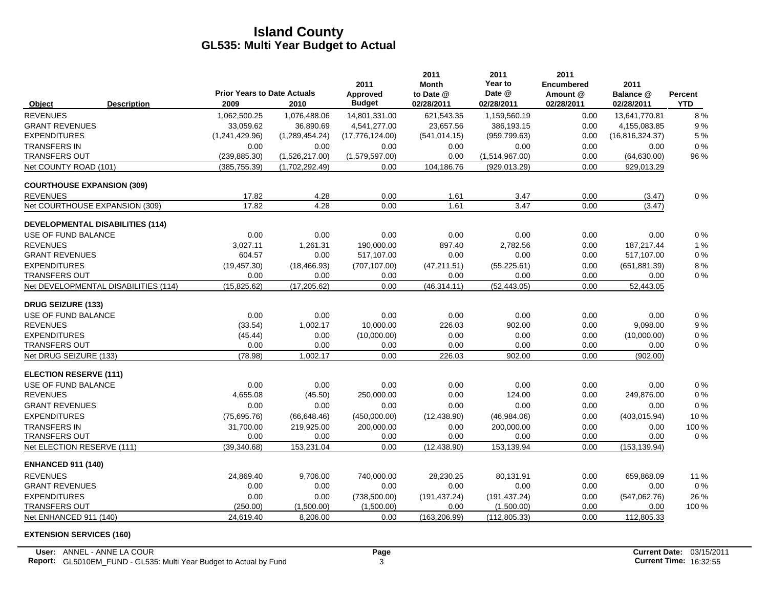|                               |                                         | <b>Prior Years to Date Actuals</b> |                | 2011                      | 2011<br><b>Month</b><br>to Date @ | 2011<br>Year to<br>Date @ | 2011<br><b>Encumbered</b><br>Amount @ | 2011<br>Balance @ |                              |
|-------------------------------|-----------------------------------------|------------------------------------|----------------|---------------------------|-----------------------------------|---------------------------|---------------------------------------|-------------------|------------------------------|
| Object                        | <b>Description</b>                      | 2009                               | 2010           | Approved<br><b>Budget</b> | 02/28/2011                        | 02/28/2011                | 02/28/2011                            | 02/28/2011        | <b>Percent</b><br><b>YTD</b> |
| <b>REVENUES</b>               |                                         | 1,062,500.25                       | 1,076,488.06   | 14,801,331.00             | 621,543.35                        | 1,159,560.19              | 0.00                                  | 13,641,770.81     | 8%                           |
| <b>GRANT REVENUES</b>         |                                         | 33.059.62                          | 36,890.69      | 4,541,277.00              | 23,657.56                         | 386,193.15                | 0.00                                  | 4,155,083.85      | 9%                           |
| <b>EXPENDITURES</b>           |                                         | (1,241,429.96)                     | (1,289,454.24) | (17,776,124.00)           | (541, 014.15)                     | (959, 799.63)             | 0.00                                  | (16, 816, 324.37) | 5 %                          |
| <b>TRANSFERS IN</b>           |                                         | 0.00                               | 0.00           | 0.00                      | 0.00                              | 0.00                      | 0.00                                  | 0.00              | 0%                           |
| TRANSFERS OUT                 |                                         | (239, 885.30)                      | (1,526,217.00) | (1,579,597.00)            | 0.00                              | (1,514,967.00)            | 0.00                                  | (64, 630.00)      | 96 %                         |
| Net COUNTY ROAD (101)         |                                         | (385, 755.39)                      | (1,702,292.49) | 0.00                      | 104,186.76                        | (929, 013.29)             | 0.00                                  | 929,013.29        |                              |
|                               | <b>COURTHOUSE EXPANSION (309)</b>       |                                    |                |                           |                                   |                           |                                       |                   |                              |
| <b>REVENUES</b>               |                                         | 17.82                              | 4.28           | 0.00                      | 1.61                              | 3.47                      | 0.00                                  | (3.47)            | 0%                           |
|                               | Net COURTHOUSE EXPANSION (309)          | 17.82                              | 4.28           | 0.00                      | 1.61                              | 3.47                      | 0.00                                  | (3.47)            |                              |
|                               | <b>DEVELOPMENTAL DISABILITIES (114)</b> |                                    |                |                           |                                   |                           |                                       |                   |                              |
| USE OF FUND BALANCE           |                                         | 0.00                               | 0.00           | 0.00                      | 0.00                              | 0.00                      | 0.00                                  | 0.00              | 0%                           |
| <b>REVENUES</b>               |                                         | 3,027.11                           | 1,261.31       | 190,000.00                | 897.40                            | 2,782.56                  | 0.00                                  | 187,217.44        | 1 %                          |
| <b>GRANT REVENUES</b>         |                                         | 604.57                             | 0.00           | 517,107.00                | 0.00                              | 0.00                      | 0.00                                  | 517,107.00        | 0%                           |
| <b>EXPENDITURES</b>           |                                         | (19, 457.30)                       | (18, 466.93)   | (707, 107.00)             | (47, 211.51)                      | (55, 225.61)              | 0.00                                  | (651, 881.39)     | 8 %                          |
| TRANSFERS OUT                 |                                         | 0.00                               | 0.00           | 0.00                      | 0.00                              | 0.00                      | 0.00                                  | 0.00              | 0%                           |
|                               | Net DEVELOPMENTAL DISABILITIES (114)    | (15,825.62)                        | (17, 205.62)   | 0.00                      | (46, 314.11)                      | (52, 443.05)              | 0.00                                  | 52,443.05         |                              |
| <b>DRUG SEIZURE (133)</b>     |                                         |                                    |                |                           |                                   |                           |                                       |                   |                              |
| USE OF FUND BALANCE           |                                         | 0.00                               | 0.00           | 0.00                      | 0.00                              | 0.00                      | 0.00                                  | 0.00              | 0%                           |
| <b>REVENUES</b>               |                                         | (33.54)                            | 1,002.17       | 10,000.00                 | 226.03                            | 902.00                    | 0.00                                  | 9,098.00          | 9%                           |
| <b>EXPENDITURES</b>           |                                         | (45.44)                            | 0.00           | (10,000.00)               | 0.00                              | 0.00                      | 0.00                                  | (10,000.00)       | $0\ \%$                      |
| <b>TRANSFERS OUT</b>          |                                         | 0.00                               | 0.00           | 0.00                      | 0.00                              | 0.00                      | 0.00                                  | 0.00              | 0%                           |
| Net DRUG SEIZURE (133)        |                                         | (78.98)                            | 1,002.17       | 0.00                      | 226.03                            | 902.00                    | 0.00                                  | (902.00)          |                              |
| <b>ELECTION RESERVE (111)</b> |                                         |                                    |                |                           |                                   |                           |                                       |                   |                              |
| USE OF FUND BALANCE           |                                         | 0.00                               | 0.00           | 0.00                      | 0.00                              | 0.00                      | 0.00                                  | 0.00              | 0%                           |
| <b>REVENUES</b>               |                                         | 4,655.08                           | (45.50)        | 250,000.00                | 0.00                              | 124.00                    | 0.00                                  | 249,876.00        | 0%                           |
| <b>GRANT REVENUES</b>         |                                         | 0.00                               | 0.00           | 0.00                      | 0.00                              | 0.00                      | 0.00                                  | 0.00              | 0%                           |
| <b>EXPENDITURES</b>           |                                         | (75,695.76)                        | (66, 648.46)   | (450,000.00)              | (12, 438.90)                      | (46,984.06)               | 0.00                                  | (403, 015.94)     | 10%                          |
| <b>TRANSFERS IN</b>           |                                         | 31,700.00                          | 219,925.00     | 200,000.00                | 0.00                              | 200,000.00                | 0.00                                  | 0.00              | 100 %                        |
| <b>TRANSFERS OUT</b>          |                                         | 0.00                               | 0.00           | 0.00                      | 0.00                              | 0.00                      | 0.00                                  | 0.00              | 0%                           |
| Net ELECTION RESERVE (111)    |                                         | (39.340.68)                        | 153,231.04     | 0.00                      | (12, 438.90)                      | 153,139.94                | 0.00                                  | (153, 139.94)     |                              |
| <b>ENHANCED 911 (140)</b>     |                                         |                                    |                |                           |                                   |                           |                                       |                   |                              |
| <b>REVENUES</b>               |                                         | 24,869.40                          | 9,706.00       | 740,000.00                | 28,230.25                         | 80,131.91                 | 0.00                                  | 659,868.09        | 11 %                         |
| <b>GRANT REVENUES</b>         |                                         | 0.00                               | 0.00           | 0.00                      | 0.00                              | 0.00                      | 0.00                                  | 0.00              | $0\%$                        |
| <b>EXPENDITURES</b>           |                                         | 0.00                               | 0.00           | (738, 500.00)             | (191, 437.24)                     | (191, 437.24)             | 0.00                                  | (547,062.76)      | 26 %                         |
| <b>TRANSFERS OUT</b>          |                                         | (250.00)                           | (1,500.00)     | (1,500.00)                | 0.00                              | (1,500.00)                | 0.00                                  | 0.00              | 100 %                        |
| Net ENHANCED 911 (140)        |                                         | 24,619.40                          | 8,206.00       | 0.00                      | (163, 206.99)                     | (112, 805.33)             | 0.00                                  | 112,805.33        |                              |

**EXTENSION SERVICES (160)**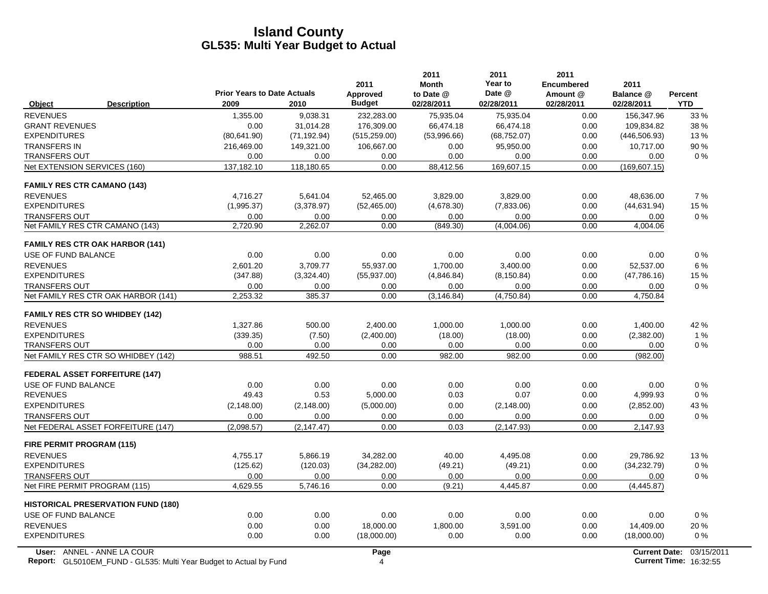| <b>Prior Years to Date Actuals</b><br>Date @<br>Approved<br>to Date @<br>Amount @<br>Balance @<br><b>Percent</b><br><b>Budget</b><br>02/28/2011<br>02/28/2011<br><b>YTD</b><br>2009<br>2010<br>02/28/2011<br>02/28/2011<br>Object<br><b>Description</b><br><b>REVENUES</b><br>232,283.00<br>1,355.00<br>9,038.31<br>75,935.04<br>75,935.04<br>0.00<br>156,347.96<br>176.309.00<br>109.834.82<br><b>GRANT REVENUES</b><br>0.00<br>31.014.28<br>66.474.18<br>66,474.18<br>0.00<br><b>EXPENDITURES</b><br>(80, 641.90)<br>(71, 192.94)<br>(53,996.66)<br>(68, 752.07)<br>0.00<br>(446, 506.93)<br>(515, 259.00)<br><b>TRANSFERS IN</b><br>149,321.00<br>106,667.00<br>95,950.00<br>0.00<br>10,717.00<br>216,469.00<br>0.00<br><b>TRANSFERS OUT</b><br>0.00<br>0.00<br>0.00<br>0.00<br>0.00<br>0.00<br>0.00<br>Net EXTENSION SERVICES (160)<br>137,182.10<br>169,607.15<br>0.00<br>118,180.65<br>0.00<br>88,412.56<br>(169, 607.15)<br><b>FAMILY RES CTR CAMANO (143)</b><br><b>REVENUES</b><br>5,641.04<br>52,465.00<br>0.00<br>4,716.27<br>3,829.00<br>3,829.00<br>48,636.00<br><b>EXPENDITURES</b><br>(3,378.97)<br>(7,833.06)<br>0.00<br>(1,995.37)<br>(52, 465.00)<br>(4,678.30)<br>(44, 631.94)<br><b>TRANSFERS OUT</b><br>0.00<br>0.00<br>0.00<br>0.00<br>0.00<br>0.00<br>0.00<br>Net FAMILY RES CTR CAMANO (143)<br>2,720.90<br>2,262.07<br>0.00<br>0.00<br>(849.30)<br>(4,004.06)<br>4,004.06<br><b>FAMILY RES CTR OAK HARBOR (141)</b><br>USE OF FUND BALANCE<br>0.00<br>0.00<br>0.00<br>0.00<br>0.00<br>0.00<br>0.00<br>2.601.20<br>3.709.77<br>55,937.00<br>3,400.00<br>52,537.00<br><b>REVENUES</b><br>1.700.00<br>0.00<br><b>EXPENDITURES</b><br>(347.88)<br>(55, 937.00)<br>(4,846.84)<br>(8, 150.84)<br>0.00<br>(47,786.16)<br>(3,324.40)<br><b>TRANSFERS OUT</b><br>0.00<br>0.00<br>0.00<br>0.00<br>0.00<br>0.00<br>0.00<br>Net FAMILY RES CTR OAK HARBOR (141)<br>2,253.32<br>385.37<br>0.00<br>(3, 146.84)<br>(4,750.84)<br>0.00<br>4,750.84<br><b>FAMILY RES CTR SO WHIDBEY (142)</b><br><b>REVENUES</b><br>1,327.86<br>500.00<br>2,400.00<br>1,000.00<br>1,000.00<br>0.00<br>1,400.00<br><b>EXPENDITURES</b><br>(339.35)<br>(7.50)<br>(2,400.00)<br>(18.00)<br>0.00<br>(2,382.00)<br>(18.00)<br>0.00<br>0.00<br>0.00<br><b>TRANSFERS OUT</b><br>0.00<br>0.00<br>0.00<br>0.00<br>492.50<br>0.00<br>0.00<br>Net FAMILY RES CTR SO WHIDBEY (142)<br>988.51<br>982.00<br>982.00<br>(982.00)<br><b>FEDERAL ASSET FORFEITURE (147)</b> |                     |      |      | 2011 | <b>Month</b> | Year to | <b>Encumbered</b> | 2011 |            |
|---------------------------------------------------------------------------------------------------------------------------------------------------------------------------------------------------------------------------------------------------------------------------------------------------------------------------------------------------------------------------------------------------------------------------------------------------------------------------------------------------------------------------------------------------------------------------------------------------------------------------------------------------------------------------------------------------------------------------------------------------------------------------------------------------------------------------------------------------------------------------------------------------------------------------------------------------------------------------------------------------------------------------------------------------------------------------------------------------------------------------------------------------------------------------------------------------------------------------------------------------------------------------------------------------------------------------------------------------------------------------------------------------------------------------------------------------------------------------------------------------------------------------------------------------------------------------------------------------------------------------------------------------------------------------------------------------------------------------------------------------------------------------------------------------------------------------------------------------------------------------------------------------------------------------------------------------------------------------------------------------------------------------------------------------------------------------------------------------------------------------------------------------------------------------------------------------------------------------------------------------------------------------------------------------------------------------------------------------------------------------------------------------------------------------------------------------|---------------------|------|------|------|--------------|---------|-------------------|------|------------|
|                                                                                                                                                                                                                                                                                                                                                                                                                                                                                                                                                                                                                                                                                                                                                                                                                                                                                                                                                                                                                                                                                                                                                                                                                                                                                                                                                                                                                                                                                                                                                                                                                                                                                                                                                                                                                                                                                                                                                                                                                                                                                                                                                                                                                                                                                                                                                                                                                                                   |                     |      |      |      |              |         |                   |      |            |
|                                                                                                                                                                                                                                                                                                                                                                                                                                                                                                                                                                                                                                                                                                                                                                                                                                                                                                                                                                                                                                                                                                                                                                                                                                                                                                                                                                                                                                                                                                                                                                                                                                                                                                                                                                                                                                                                                                                                                                                                                                                                                                                                                                                                                                                                                                                                                                                                                                                   |                     |      |      |      |              |         |                   |      | 33 %       |
|                                                                                                                                                                                                                                                                                                                                                                                                                                                                                                                                                                                                                                                                                                                                                                                                                                                                                                                                                                                                                                                                                                                                                                                                                                                                                                                                                                                                                                                                                                                                                                                                                                                                                                                                                                                                                                                                                                                                                                                                                                                                                                                                                                                                                                                                                                                                                                                                                                                   |                     |      |      |      |              |         |                   |      | 38 %       |
|                                                                                                                                                                                                                                                                                                                                                                                                                                                                                                                                                                                                                                                                                                                                                                                                                                                                                                                                                                                                                                                                                                                                                                                                                                                                                                                                                                                                                                                                                                                                                                                                                                                                                                                                                                                                                                                                                                                                                                                                                                                                                                                                                                                                                                                                                                                                                                                                                                                   |                     |      |      |      |              |         |                   |      | 13%        |
|                                                                                                                                                                                                                                                                                                                                                                                                                                                                                                                                                                                                                                                                                                                                                                                                                                                                                                                                                                                                                                                                                                                                                                                                                                                                                                                                                                                                                                                                                                                                                                                                                                                                                                                                                                                                                                                                                                                                                                                                                                                                                                                                                                                                                                                                                                                                                                                                                                                   |                     |      |      |      |              |         |                   |      | 90%        |
|                                                                                                                                                                                                                                                                                                                                                                                                                                                                                                                                                                                                                                                                                                                                                                                                                                                                                                                                                                                                                                                                                                                                                                                                                                                                                                                                                                                                                                                                                                                                                                                                                                                                                                                                                                                                                                                                                                                                                                                                                                                                                                                                                                                                                                                                                                                                                                                                                                                   |                     |      |      |      |              |         |                   |      | $0\%$      |
|                                                                                                                                                                                                                                                                                                                                                                                                                                                                                                                                                                                                                                                                                                                                                                                                                                                                                                                                                                                                                                                                                                                                                                                                                                                                                                                                                                                                                                                                                                                                                                                                                                                                                                                                                                                                                                                                                                                                                                                                                                                                                                                                                                                                                                                                                                                                                                                                                                                   |                     |      |      |      |              |         |                   |      |            |
|                                                                                                                                                                                                                                                                                                                                                                                                                                                                                                                                                                                                                                                                                                                                                                                                                                                                                                                                                                                                                                                                                                                                                                                                                                                                                                                                                                                                                                                                                                                                                                                                                                                                                                                                                                                                                                                                                                                                                                                                                                                                                                                                                                                                                                                                                                                                                                                                                                                   |                     |      |      |      |              |         |                   |      |            |
|                                                                                                                                                                                                                                                                                                                                                                                                                                                                                                                                                                                                                                                                                                                                                                                                                                                                                                                                                                                                                                                                                                                                                                                                                                                                                                                                                                                                                                                                                                                                                                                                                                                                                                                                                                                                                                                                                                                                                                                                                                                                                                                                                                                                                                                                                                                                                                                                                                                   |                     |      |      |      |              |         |                   |      | 7%         |
|                                                                                                                                                                                                                                                                                                                                                                                                                                                                                                                                                                                                                                                                                                                                                                                                                                                                                                                                                                                                                                                                                                                                                                                                                                                                                                                                                                                                                                                                                                                                                                                                                                                                                                                                                                                                                                                                                                                                                                                                                                                                                                                                                                                                                                                                                                                                                                                                                                                   |                     |      |      |      |              |         |                   |      | 15 %       |
|                                                                                                                                                                                                                                                                                                                                                                                                                                                                                                                                                                                                                                                                                                                                                                                                                                                                                                                                                                                                                                                                                                                                                                                                                                                                                                                                                                                                                                                                                                                                                                                                                                                                                                                                                                                                                                                                                                                                                                                                                                                                                                                                                                                                                                                                                                                                                                                                                                                   |                     |      |      |      |              |         |                   |      | 0%         |
|                                                                                                                                                                                                                                                                                                                                                                                                                                                                                                                                                                                                                                                                                                                                                                                                                                                                                                                                                                                                                                                                                                                                                                                                                                                                                                                                                                                                                                                                                                                                                                                                                                                                                                                                                                                                                                                                                                                                                                                                                                                                                                                                                                                                                                                                                                                                                                                                                                                   |                     |      |      |      |              |         |                   |      |            |
|                                                                                                                                                                                                                                                                                                                                                                                                                                                                                                                                                                                                                                                                                                                                                                                                                                                                                                                                                                                                                                                                                                                                                                                                                                                                                                                                                                                                                                                                                                                                                                                                                                                                                                                                                                                                                                                                                                                                                                                                                                                                                                                                                                                                                                                                                                                                                                                                                                                   |                     |      |      |      |              |         |                   |      |            |
|                                                                                                                                                                                                                                                                                                                                                                                                                                                                                                                                                                                                                                                                                                                                                                                                                                                                                                                                                                                                                                                                                                                                                                                                                                                                                                                                                                                                                                                                                                                                                                                                                                                                                                                                                                                                                                                                                                                                                                                                                                                                                                                                                                                                                                                                                                                                                                                                                                                   |                     |      |      |      |              |         |                   |      | $0\%$      |
|                                                                                                                                                                                                                                                                                                                                                                                                                                                                                                                                                                                                                                                                                                                                                                                                                                                                                                                                                                                                                                                                                                                                                                                                                                                                                                                                                                                                                                                                                                                                                                                                                                                                                                                                                                                                                                                                                                                                                                                                                                                                                                                                                                                                                                                                                                                                                                                                                                                   |                     |      |      |      |              |         |                   |      | 6 %        |
|                                                                                                                                                                                                                                                                                                                                                                                                                                                                                                                                                                                                                                                                                                                                                                                                                                                                                                                                                                                                                                                                                                                                                                                                                                                                                                                                                                                                                                                                                                                                                                                                                                                                                                                                                                                                                                                                                                                                                                                                                                                                                                                                                                                                                                                                                                                                                                                                                                                   |                     |      |      |      |              |         |                   |      | 15 %       |
|                                                                                                                                                                                                                                                                                                                                                                                                                                                                                                                                                                                                                                                                                                                                                                                                                                                                                                                                                                                                                                                                                                                                                                                                                                                                                                                                                                                                                                                                                                                                                                                                                                                                                                                                                                                                                                                                                                                                                                                                                                                                                                                                                                                                                                                                                                                                                                                                                                                   |                     |      |      |      |              |         |                   |      | $0\%$      |
|                                                                                                                                                                                                                                                                                                                                                                                                                                                                                                                                                                                                                                                                                                                                                                                                                                                                                                                                                                                                                                                                                                                                                                                                                                                                                                                                                                                                                                                                                                                                                                                                                                                                                                                                                                                                                                                                                                                                                                                                                                                                                                                                                                                                                                                                                                                                                                                                                                                   |                     |      |      |      |              |         |                   |      |            |
|                                                                                                                                                                                                                                                                                                                                                                                                                                                                                                                                                                                                                                                                                                                                                                                                                                                                                                                                                                                                                                                                                                                                                                                                                                                                                                                                                                                                                                                                                                                                                                                                                                                                                                                                                                                                                                                                                                                                                                                                                                                                                                                                                                                                                                                                                                                                                                                                                                                   |                     |      |      |      |              |         |                   |      |            |
|                                                                                                                                                                                                                                                                                                                                                                                                                                                                                                                                                                                                                                                                                                                                                                                                                                                                                                                                                                                                                                                                                                                                                                                                                                                                                                                                                                                                                                                                                                                                                                                                                                                                                                                                                                                                                                                                                                                                                                                                                                                                                                                                                                                                                                                                                                                                                                                                                                                   |                     |      |      |      |              |         |                   |      | 42 %       |
|                                                                                                                                                                                                                                                                                                                                                                                                                                                                                                                                                                                                                                                                                                                                                                                                                                                                                                                                                                                                                                                                                                                                                                                                                                                                                                                                                                                                                                                                                                                                                                                                                                                                                                                                                                                                                                                                                                                                                                                                                                                                                                                                                                                                                                                                                                                                                                                                                                                   |                     |      |      |      |              |         |                   |      | 1%         |
|                                                                                                                                                                                                                                                                                                                                                                                                                                                                                                                                                                                                                                                                                                                                                                                                                                                                                                                                                                                                                                                                                                                                                                                                                                                                                                                                                                                                                                                                                                                                                                                                                                                                                                                                                                                                                                                                                                                                                                                                                                                                                                                                                                                                                                                                                                                                                                                                                                                   |                     |      |      |      |              |         |                   |      | 0%         |
|                                                                                                                                                                                                                                                                                                                                                                                                                                                                                                                                                                                                                                                                                                                                                                                                                                                                                                                                                                                                                                                                                                                                                                                                                                                                                                                                                                                                                                                                                                                                                                                                                                                                                                                                                                                                                                                                                                                                                                                                                                                                                                                                                                                                                                                                                                                                                                                                                                                   |                     |      |      |      |              |         |                   |      |            |
|                                                                                                                                                                                                                                                                                                                                                                                                                                                                                                                                                                                                                                                                                                                                                                                                                                                                                                                                                                                                                                                                                                                                                                                                                                                                                                                                                                                                                                                                                                                                                                                                                                                                                                                                                                                                                                                                                                                                                                                                                                                                                                                                                                                                                                                                                                                                                                                                                                                   |                     |      |      |      |              |         |                   |      |            |
|                                                                                                                                                                                                                                                                                                                                                                                                                                                                                                                                                                                                                                                                                                                                                                                                                                                                                                                                                                                                                                                                                                                                                                                                                                                                                                                                                                                                                                                                                                                                                                                                                                                                                                                                                                                                                                                                                                                                                                                                                                                                                                                                                                                                                                                                                                                                                                                                                                                   | USE OF FUND BALANCE | 0.00 | 0.00 | 0.00 | 0.00         | 0.00    | 0.00              | 0.00 | $0\%$      |
| 49.43<br>0.53<br>5,000.00<br>0.03<br>0.07<br>0.00<br>4,999.93<br><b>REVENUES</b>                                                                                                                                                                                                                                                                                                                                                                                                                                                                                                                                                                                                                                                                                                                                                                                                                                                                                                                                                                                                                                                                                                                                                                                                                                                                                                                                                                                                                                                                                                                                                                                                                                                                                                                                                                                                                                                                                                                                                                                                                                                                                                                                                                                                                                                                                                                                                                  |                     |      |      |      |              |         |                   |      | $0\%$      |
| <b>EXPENDITURES</b><br>(2, 148.00)<br>(5,000.00)<br>0.00<br>0.00<br>(2,852.00)<br>(2, 148.00)<br>(2, 148.00)                                                                                                                                                                                                                                                                                                                                                                                                                                                                                                                                                                                                                                                                                                                                                                                                                                                                                                                                                                                                                                                                                                                                                                                                                                                                                                                                                                                                                                                                                                                                                                                                                                                                                                                                                                                                                                                                                                                                                                                                                                                                                                                                                                                                                                                                                                                                      |                     |      |      |      |              |         |                   |      | 43 %       |
| 0.00<br><b>TRANSFERS OUT</b><br>0.00<br>0.00<br>0.00<br>0.00<br>0.00<br>0.00                                                                                                                                                                                                                                                                                                                                                                                                                                                                                                                                                                                                                                                                                                                                                                                                                                                                                                                                                                                                                                                                                                                                                                                                                                                                                                                                                                                                                                                                                                                                                                                                                                                                                                                                                                                                                                                                                                                                                                                                                                                                                                                                                                                                                                                                                                                                                                      |                     |      |      |      |              |         |                   |      | $0\%$      |
| Net FEDERAL ASSET FORFEITURE (147)<br>(2,098.57)<br>(2, 147.47)<br>0.00<br>0.03<br>(2, 147.93)<br>0.00<br>2,147.93                                                                                                                                                                                                                                                                                                                                                                                                                                                                                                                                                                                                                                                                                                                                                                                                                                                                                                                                                                                                                                                                                                                                                                                                                                                                                                                                                                                                                                                                                                                                                                                                                                                                                                                                                                                                                                                                                                                                                                                                                                                                                                                                                                                                                                                                                                                                |                     |      |      |      |              |         |                   |      |            |
| <b>FIRE PERMIT PROGRAM (115)</b>                                                                                                                                                                                                                                                                                                                                                                                                                                                                                                                                                                                                                                                                                                                                                                                                                                                                                                                                                                                                                                                                                                                                                                                                                                                                                                                                                                                                                                                                                                                                                                                                                                                                                                                                                                                                                                                                                                                                                                                                                                                                                                                                                                                                                                                                                                                                                                                                                  |                     |      |      |      |              |         |                   |      |            |
| 40.00<br><b>REVENUES</b><br>4,755.17<br>5,866.19<br>34,282.00<br>4,495.08<br>0.00<br>29,786.92                                                                                                                                                                                                                                                                                                                                                                                                                                                                                                                                                                                                                                                                                                                                                                                                                                                                                                                                                                                                                                                                                                                                                                                                                                                                                                                                                                                                                                                                                                                                                                                                                                                                                                                                                                                                                                                                                                                                                                                                                                                                                                                                                                                                                                                                                                                                                    |                     |      |      |      |              |         |                   |      | 13%        |
| <b>EXPENDITURES</b><br>(125.62)<br>(120.03)<br>(34, 282.00)<br>(49.21)<br>(49.21)<br>0.00<br>(34, 232.79)                                                                                                                                                                                                                                                                                                                                                                                                                                                                                                                                                                                                                                                                                                                                                                                                                                                                                                                                                                                                                                                                                                                                                                                                                                                                                                                                                                                                                                                                                                                                                                                                                                                                                                                                                                                                                                                                                                                                                                                                                                                                                                                                                                                                                                                                                                                                         |                     |      |      |      |              |         |                   |      | $0\%$      |
| <b>TRANSFERS OUT</b><br>0.00<br>0.00<br>0.00<br>0.00<br>0.00<br>0.00<br>0.00                                                                                                                                                                                                                                                                                                                                                                                                                                                                                                                                                                                                                                                                                                                                                                                                                                                                                                                                                                                                                                                                                                                                                                                                                                                                                                                                                                                                                                                                                                                                                                                                                                                                                                                                                                                                                                                                                                                                                                                                                                                                                                                                                                                                                                                                                                                                                                      |                     |      |      |      |              |         |                   |      | 0%         |
| 0.00<br>Net FIRE PERMIT PROGRAM (115)<br>4,629.55<br>5,746.16<br>0.00<br>(9.21)<br>4,445.87<br>(4, 445.87)                                                                                                                                                                                                                                                                                                                                                                                                                                                                                                                                                                                                                                                                                                                                                                                                                                                                                                                                                                                                                                                                                                                                                                                                                                                                                                                                                                                                                                                                                                                                                                                                                                                                                                                                                                                                                                                                                                                                                                                                                                                                                                                                                                                                                                                                                                                                        |                     |      |      |      |              |         |                   |      |            |
| <b>HISTORICAL PRESERVATION FUND (180)</b>                                                                                                                                                                                                                                                                                                                                                                                                                                                                                                                                                                                                                                                                                                                                                                                                                                                                                                                                                                                                                                                                                                                                                                                                                                                                                                                                                                                                                                                                                                                                                                                                                                                                                                                                                                                                                                                                                                                                                                                                                                                                                                                                                                                                                                                                                                                                                                                                         |                     |      |      |      |              |         |                   |      |            |
| USE OF FUND BALANCE<br>0.00<br>0.00<br>0.00<br>0.00<br>0.00<br>0.00<br>0.00                                                                                                                                                                                                                                                                                                                                                                                                                                                                                                                                                                                                                                                                                                                                                                                                                                                                                                                                                                                                                                                                                                                                                                                                                                                                                                                                                                                                                                                                                                                                                                                                                                                                                                                                                                                                                                                                                                                                                                                                                                                                                                                                                                                                                                                                                                                                                                       |                     |      |      |      |              |         |                   |      | 0%         |
| <b>REVENUES</b><br>0.00<br>0.00<br>18,000.00<br>1,800.00<br>3,591.00<br>0.00<br>14,409.00                                                                                                                                                                                                                                                                                                                                                                                                                                                                                                                                                                                                                                                                                                                                                                                                                                                                                                                                                                                                                                                                                                                                                                                                                                                                                                                                                                                                                                                                                                                                                                                                                                                                                                                                                                                                                                                                                                                                                                                                                                                                                                                                                                                                                                                                                                                                                         |                     |      |      |      |              |         |                   |      | 20%        |
| <b>EXPENDITURES</b><br>0.00<br>0.00<br>0.00<br>0.00<br>(18,000.00)<br>(18,000.00)<br>0.00                                                                                                                                                                                                                                                                                                                                                                                                                                                                                                                                                                                                                                                                                                                                                                                                                                                                                                                                                                                                                                                                                                                                                                                                                                                                                                                                                                                                                                                                                                                                                                                                                                                                                                                                                                                                                                                                                                                                                                                                                                                                                                                                                                                                                                                                                                                                                         |                     |      |      |      |              |         |                   |      | 0%         |
| User: ANNEL - ANNE LA COUR<br>Page<br><b>Current Date:</b><br><b>Current Time: 16:32:55</b><br>Report: GL5010EM_FUND - GL535: Multi Year Budget to Actual by Fund<br>$\overline{4}$                                                                                                                                                                                                                                                                                                                                                                                                                                                                                                                                                                                                                                                                                                                                                                                                                                                                                                                                                                                                                                                                                                                                                                                                                                                                                                                                                                                                                                                                                                                                                                                                                                                                                                                                                                                                                                                                                                                                                                                                                                                                                                                                                                                                                                                               |                     |      |      |      |              |         |                   |      | 03/15/2011 |

**Report:** GL5010EM\_FUND - GL535: Multi Year Budget to Actual by Fund 16:32:55 16:02:55 16:02:55 16:32:55 16:02:55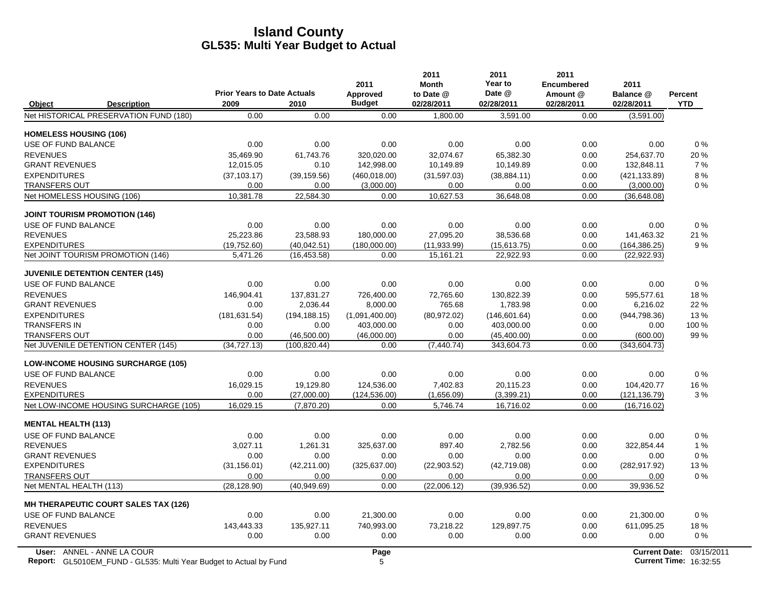|                                           |                                            |               | 2011                      | 2011<br><b>Month</b>    | 2011<br>Year to      | 2011<br><b>Encumbered</b> | 2011                    |                              |
|-------------------------------------------|--------------------------------------------|---------------|---------------------------|-------------------------|----------------------|---------------------------|-------------------------|------------------------------|
| Object<br><b>Description</b>              | <b>Prior Years to Date Actuals</b><br>2009 | 2010          | Approved<br><b>Budget</b> | to Date @<br>02/28/2011 | Date @<br>02/28/2011 | Amount @<br>02/28/2011    | Balance @<br>02/28/2011 | <b>Percent</b><br><b>YTD</b> |
| Net HISTORICAL PRESERVATION FUND (180)    | 0.00                                       | 0.00          | 0.00                      | 1.800.00                | 3,591.00             | 0.00                      | (3,591.00)              |                              |
| <b>HOMELESS HOUSING (106)</b>             |                                            |               |                           |                         |                      |                           |                         |                              |
| USE OF FUND BALANCE                       | 0.00                                       | 0.00          | 0.00                      | 0.00                    | 0.00                 | 0.00                      | 0.00                    | 0%                           |
| <b>REVENUES</b>                           | 35.469.90                                  | 61.743.76     | 320.020.00                | 32.074.67               | 65.382.30            | 0.00                      | 254.637.70              | 20%                          |
| <b>GRANT REVENUES</b>                     | 12,015.05                                  | 0.10          | 142,998.00                | 10,149.89               | 10,149.89            | 0.00                      | 132,848.11              | 7%                           |
| <b>EXPENDITURES</b>                       | (37, 103.17)                               | (39, 159.56)  | (460, 018, 00)            | (31, 597.03)            | (38, 884.11)         | 0.00                      | (421, 133.89)           | 8%                           |
| <b>TRANSFERS OUT</b>                      | 0.00                                       | 0.00          | (3,000.00)                | 0.00                    | 0.00                 | 0.00                      | (3,000.00)              | 0%                           |
| Net HOMELESS HOUSING (106)                | 10,381.78                                  | 22,584.30     | 0.00                      | 10,627.53               | 36,648.08            | 0.00                      | (36,648.08)             |                              |
| <b>JOINT TOURISM PROMOTION (146)</b>      |                                            |               |                           |                         |                      |                           |                         |                              |
| USE OF FUND BALANCE                       | 0.00                                       | 0.00          | 0.00                      | 0.00                    | 0.00                 | 0.00                      | 0.00                    | 0%                           |
| <b>REVENUES</b>                           | 25,223.86                                  | 23,588.93     | 180,000.00                | 27,095.20               | 38,536.68            | 0.00                      | 141,463.32              | 21 %                         |
| <b>EXPENDITURES</b>                       | (19,752.60)                                | (40,042.51)   | (180,000.00)              | (11, 933.99)            | (15,613.75)          | 0.00                      | (164, 386.25)           | 9%                           |
| Net JOINT TOURISM PROMOTION (146)         | 5,471.26                                   | (16, 453.58)  | 0.00                      | 15,161.21               | 22,922.93            | 0.00                      | (22, 922.93)            |                              |
| <b>JUVENILE DETENTION CENTER (145)</b>    |                                            |               |                           |                         |                      |                           |                         |                              |
| USE OF FUND BALANCE                       | 0.00                                       | 0.00          | 0.00                      | 0.00                    | 0.00                 | 0.00                      | 0.00                    | $0\%$                        |
| <b>REVENUES</b>                           | 146.904.41                                 | 137,831.27    | 726,400.00                | 72,765.60               | 130,822.39           | 0.00                      | 595,577.61              | 18%                          |
| <b>GRANT REVENUES</b>                     | 0.00                                       | 2.036.44      | 8,000.00                  | 765.68                  | 1,783.98             | 0.00                      | 6,216.02                | 22 %                         |
| <b>EXPENDITURES</b>                       | (181, 631.54)                              | (194, 188.15) | (1,091,400.00)            | (80,972.02)             | (146, 601.64)        | 0.00                      | (944, 798.36)           | 13%                          |
| <b>TRANSFERS IN</b>                       | 0.00                                       | 0.00          | 403,000.00                | 0.00                    | 403,000.00           | 0.00                      | 0.00                    | 100 %                        |
| <b>TRANSFERS OUT</b>                      | 0.00                                       | (46,500.00)   | (46,000.00)               | 0.00                    | (45, 400.00)         | 0.00                      | (600.00)                | 99%                          |
| Net JUVENILE DETENTION CENTER (145)       | (34, 727.13)                               | (100, 820.44) | 0.00                      | (7, 440.74)             | 343,604.73           | 0.00                      | (343, 604.73)           |                              |
| <b>LOW-INCOME HOUSING SURCHARGE (105)</b> |                                            |               |                           |                         |                      |                           |                         |                              |
| USE OF FUND BALANCE                       | 0.00                                       | 0.00          | 0.00                      | 0.00                    | 0.00                 | 0.00                      | 0.00                    | 0%                           |
| <b>REVENUES</b>                           | 16,029.15                                  | 19,129.80     | 124,536.00                | 7,402.83                | 20,115.23            | 0.00                      | 104,420.77              | 16 %                         |
| <b>EXPENDITURES</b>                       | 0.00                                       | (27,000.00)   | (124, 536.00)             | (1,656.09)              | (3,399.21)           | 0.00                      | (121, 136.79)           | 3%                           |
| Net LOW-INCOME HOUSING SURCHARGE (105)    | 16,029.15                                  | (7,870.20)    | 0.00                      | 5,746.74                | 16,716.02            | 0.00                      | (16,716.02)             |                              |
| <b>MENTAL HEALTH (113)</b>                |                                            |               |                           |                         |                      |                           |                         |                              |
| USE OF FUND BALANCE                       | 0.00                                       | 0.00          | 0.00                      | 0.00                    | 0.00                 | 0.00                      | 0.00                    | 0%                           |
| <b>REVENUES</b>                           | 3,027.11                                   | 1,261.31      | 325,637.00                | 897.40                  | 2,782.56             | 0.00                      | 322,854.44              | 1 %                          |
| <b>GRANT REVENUES</b>                     | 0.00                                       | 0.00          | 0.00                      | 0.00                    | 0.00                 | 0.00                      | 0.00                    | 0%                           |
| <b>EXPENDITURES</b>                       | (31, 156.01)                               | (42, 211.00)  | (325, 637.00)             | (22,903.52)             | (42,719.08)          | 0.00                      | (282, 917.92)           | 13%                          |
| <b>TRANSFERS OUT</b>                      | 0.00                                       | 0.00          | 0.00                      | 0.00                    | 0.00                 | 0.00                      | 0.00                    | 0%                           |
| Net MENTAL HEALTH (113)                   | (28, 128.90)                               | (40, 949.69)  | 0.00                      | (22,006.12)             | (39,936.52)          | 0.00                      | 39,936.52               |                              |
| MH THERAPEUTIC COURT SALES TAX (126)      |                                            |               |                           |                         |                      |                           |                         |                              |
| USE OF FUND BALANCE                       | 0.00                                       | 0.00          | 21,300.00                 | 0.00                    | 0.00                 | 0.00                      | 21,300.00               | $0\%$                        |
| <b>REVENUES</b>                           | 143,443.33                                 | 135,927.11    | 740,993.00                | 73,218.22               | 129,897.75           | 0.00                      | 611,095.25              | 18%                          |
| <b>GRANT REVENUES</b>                     | 0.00                                       | 0.00          | 0.00                      | 0.00                    | 0.00                 | 0.00                      | 0.00                    | $0\%$                        |
| User: ANNEL - ANNE LA COUR                |                                            |               | Page                      |                         |                      |                           | <b>Current Date:</b>    | 03/15/2                      |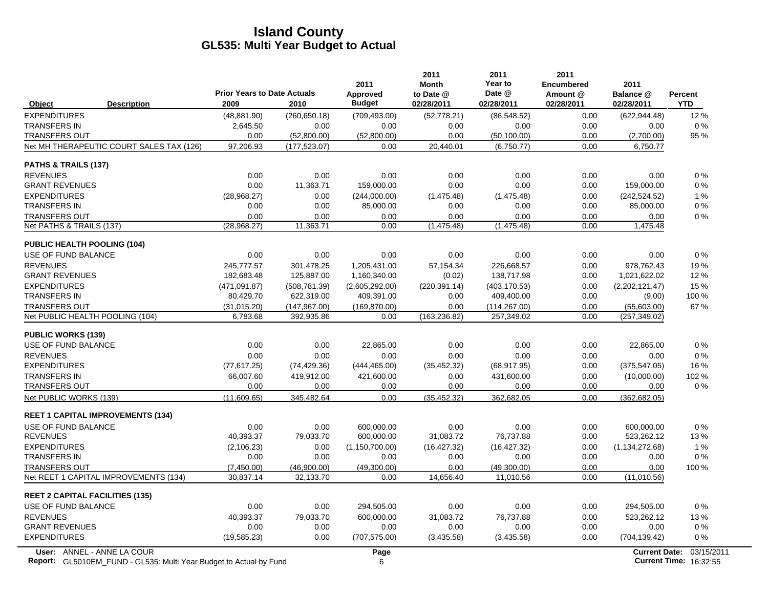|                                                                                                  | <b>Prior Years to Date Actuals</b> |               | 2011<br>Approved | 2011<br><b>Month</b><br>to Date @ | 2011<br>Year to<br>Date @ | 2011<br><b>Encumbered</b><br>Amount @ | 2011<br>Balance @    | <b>Percent</b>                              |
|--------------------------------------------------------------------------------------------------|------------------------------------|---------------|------------------|-----------------------------------|---------------------------|---------------------------------------|----------------------|---------------------------------------------|
| Object<br><b>Description</b>                                                                     | 2009                               | 2010          | <b>Budget</b>    | 02/28/2011                        | 02/28/2011                | 02/28/2011                            | 02/28/2011           | <b>YTD</b>                                  |
| <b>EXPENDITURES</b>                                                                              | (48, 881.90)                       | (260, 650.18) | (709, 493.00)    | (52, 778.21)                      | (86, 548.52)              | 0.00                                  | (622, 944.48)        | 12%                                         |
| <b>TRANSFERS IN</b>                                                                              | 2,645.50                           | 0.00          | 0.00             | 0.00                              | 0.00                      | 0.00                                  | 0.00                 | $0\%$                                       |
| <b>TRANSFERS OUT</b>                                                                             | 0.00                               | (52,800.00)   | (52,800.00)      | 0.00                              | (50, 100.00)              | 0.00                                  | (2,700.00)           | 95 %                                        |
| Net MH THERAPEUTIC COURT SALES TAX (126)                                                         | 97,206.93                          | (177, 523.07) | 0.00             | 20.440.01                         | (6,750.77)                | 0.00                                  | 6,750.77             |                                             |
| PATHS & TRAILS (137)                                                                             |                                    |               |                  |                                   |                           |                                       |                      |                                             |
| <b>REVENUES</b>                                                                                  | 0.00                               | 0.00          | 0.00             | 0.00                              | 0.00                      | 0.00                                  | 0.00                 | $0\%$                                       |
| <b>GRANT REVENUES</b>                                                                            | 0.00                               | 11,363.71     | 159,000.00       | 0.00                              | 0.00                      | 0.00                                  | 159,000.00           | $0\%$                                       |
| <b>EXPENDITURES</b>                                                                              | (28, 968.27)                       | 0.00          | (244,000.00)     | (1,475.48)                        | (1,475.48)                | 0.00                                  | (242, 524.52)        | 1%                                          |
| <b>TRANSFERS IN</b>                                                                              | 0.00                               | 0.00          | 85,000.00        | 0.00                              | 0.00                      | 0.00                                  | 85,000.00            | $0\%$                                       |
| <b>TRANSFERS OUT</b>                                                                             | 0.00                               | 0.00          | 0.00             | 0.00                              | 0.00                      | 0.00                                  | 0.00                 | 0%                                          |
| Net PATHS & TRAILS (137)                                                                         | (28, 968.27)                       | 11,363.71     | 0.00             | (1,475.48)                        | (1,475.48)                | 0.00                                  | 1,475.48             |                                             |
| PUBLIC HEALTH POOLING (104)                                                                      |                                    |               |                  |                                   |                           |                                       |                      |                                             |
| USE OF FUND BALANCE                                                                              | 0.00                               | 0.00          | 0.00             | 0.00                              | 0.00                      | 0.00                                  | 0.00                 | $0\%$                                       |
| <b>REVENUES</b>                                                                                  | 245.777.57                         | 301.478.25    | 1.205.431.00     | 57.154.34                         | 226.668.57                | 0.00                                  | 978.762.43           | 19%                                         |
| <b>GRANT REVENUES</b>                                                                            | 182,683.48                         | 125,887.00    | 1,160,340.00     | (0.02)                            | 138,717.98                | 0.00                                  | 1,021,622.02         | 12 %                                        |
| <b>EXPENDITURES</b>                                                                              | (471, 091.87)                      | (508, 781.39) | (2,605,292.00)   | (220, 391.14)                     | (403, 170.53)             | 0.00                                  | (2,202,121.47)       | 15 %                                        |
| <b>TRANSFERS IN</b>                                                                              | 80,429.70                          | 622,319.00    | 409,391.00       | 0.00                              | 409,400.00                | 0.00                                  | (9.00)               | 100 %                                       |
| <b>TRANSFERS OUT</b>                                                                             | (31, 015.20)                       | (147, 967.00) | (169, 870.00)    | 0.00                              | (114, 267.00)             | 0.00                                  | (55,603.00)          | 67 %                                        |
| Net PUBLIC HEALTH POOLING (104)                                                                  | 6,783.68                           | 392,935.86    | 0.00             | (163, 236.82)                     | 257,349.02                | 0.00                                  | (257,349.02)         |                                             |
| <b>PUBLIC WORKS (139)</b>                                                                        |                                    |               |                  |                                   |                           |                                       |                      |                                             |
| USE OF FUND BALANCE                                                                              | 0.00                               | 0.00          | 22,865.00        | 0.00                              | 0.00                      | 0.00                                  | 22,865.00            | 0%                                          |
| <b>REVENUES</b>                                                                                  | 0.00                               | 0.00          | 0.00             | 0.00                              | 0.00                      | 0.00                                  | 0.00                 | 0%                                          |
| <b>EXPENDITURES</b>                                                                              | (77, 617.25)                       | (74, 429.36)  | (444, 465.00)    | (35, 452.32)                      | (68, 917.95)              | 0.00                                  | (375, 547.05)        | 16 %                                        |
| <b>TRANSFERS IN</b>                                                                              | 66,007.60                          | 419,912.00    | 421,600.00       | 0.00                              | 431,600.00                | 0.00                                  | (10,000.00)          | 102%                                        |
| <b>TRANSFERS OUT</b>                                                                             | 0.00                               | 0.00          | 0.00             | 0.00                              | 0.00                      | 0.00                                  | 0.00                 | $0\%$                                       |
| Net PUBLIC WORKS (139)                                                                           | (11,609.65)                        | 345,482.64    | 0.00             | (35, 452.32)                      | 362,682.05                | 0.00                                  | (362, 682.05)        |                                             |
| <b>REET 1 CAPITAL IMPROVEMENTS (134)</b>                                                         |                                    |               |                  |                                   |                           |                                       |                      |                                             |
| USE OF FUND BALANCE                                                                              | 0.00                               | 0.00          | 600,000.00       | 0.00                              | 0.00                      | 0.00                                  | 600,000.00           | 0%                                          |
| <b>REVENUES</b>                                                                                  | 40,393.37                          | 79,033.70     | 600,000.00       | 31,083.72                         | 76,737.88                 | 0.00                                  | 523,262.12           | 13%                                         |
| <b>EXPENDITURES</b>                                                                              | (2, 106.23)                        | 0.00          | (1, 150, 700.00) | (16, 427.32)                      | (16, 427.32)              | 0.00                                  | (1, 134, 272.68)     | 1%                                          |
| <b>TRANSFERS IN</b>                                                                              | 0.00                               | 0.00          | 0.00             | 0.00                              | 0.00                      | 0.00                                  | 0.00                 | 0%                                          |
| <b>TRANSFERS OUT</b>                                                                             | (7,450.00)                         | (46,900.00)   | (49,300.00)      | 0.00                              | (49,300.00)               | 0.00                                  | 0.00                 | 100 %                                       |
| Net REET 1 CAPITAL IMPROVEMENTS (134)                                                            | 30,837.14                          | 32,133.70     | 0.00             | 14,656.40                         | 11,010.56                 | 0.00                                  | (11,010.56)          |                                             |
| <b>REET 2 CAPITAL FACILITIES (135)</b>                                                           |                                    |               |                  |                                   |                           |                                       |                      |                                             |
| USE OF FUND BALANCE                                                                              | 0.00                               | 0.00          | 294,505.00       | 0.00                              | 0.00                      | 0.00                                  | 294,505.00           | $0\%$                                       |
| <b>REVENUES</b>                                                                                  | 40,393.37                          | 79,033.70     | 600,000.00       | 31,083.72                         | 76,737.88                 | 0.00                                  | 523,262.12           | 13%                                         |
| <b>GRANT REVENUES</b>                                                                            | 0.00                               | 0.00          | 0.00             | 0.00                              | 0.00                      | 0.00                                  | 0.00                 | $0\%$                                       |
| <b>EXPENDITURES</b>                                                                              | (19, 585.23)                       | 0.00          | (707, 575.00)    | (3,435.58)                        | (3,435.58)                | 0.00                                  | (704, 139.42)        | $0\%$                                       |
| User: ANNEL - ANNE LA COUR<br>Report: GL5010EM_FUND - GL535: Multi Year Budget to Actual by Fund |                                    |               | Page<br>6        |                                   |                           |                                       | <b>Current Date:</b> | 03/15/2011<br><b>Current Time: 16:32:55</b> |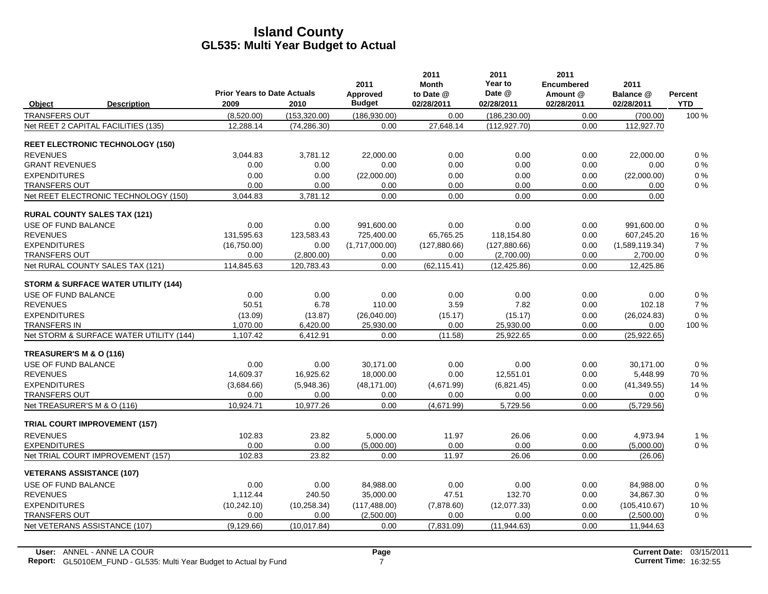|                                      |                                                | <b>Prior Years to Date Actuals</b> |               | 2011                      | 2011<br><b>Month</b>    | 2011<br>Year to<br>Date @ | 2011<br><b>Encumbered</b><br>Amount @ | 2011                    |                       |
|--------------------------------------|------------------------------------------------|------------------------------------|---------------|---------------------------|-------------------------|---------------------------|---------------------------------------|-------------------------|-----------------------|
| Object                               | <b>Description</b>                             | 2009                               | 2010          | Approved<br><b>Budget</b> | to Date @<br>02/28/2011 | 02/28/2011                | 02/28/2011                            | Balance @<br>02/28/2011 | Percent<br><b>YTD</b> |
| TRANSFERS OUT                        |                                                | (8,520.00)                         | (153, 320.00) | (186, 930.00)             | 0.00                    | (186, 230.00)             | 0.00                                  | (700.00)                | 100 %                 |
| Net REET 2 CAPITAL FACILITIES (135)  |                                                | 12,288.14                          | (74, 286.30)  | 0.00                      | 27,648.14               | (112, 927.70)             | 0.00                                  | 112,927.70              |                       |
|                                      | <b>REET ELECTRONIC TECHNOLOGY (150)</b>        |                                    |               |                           |                         |                           |                                       |                         |                       |
| <b>REVENUES</b>                      |                                                | 3,044.83                           | 3,781.12      | 22.000.00                 | 0.00                    | 0.00                      | 0.00                                  | 22.000.00               | 0%                    |
| <b>GRANT REVENUES</b>                |                                                | 0.00                               | 0.00          | 0.00                      | 0.00                    | 0.00                      | 0.00                                  | 0.00                    | $0\%$                 |
| <b>EXPENDITURES</b>                  |                                                | 0.00                               | 0.00          | (22,000.00)               | 0.00                    | 0.00                      | 0.00                                  | (22,000.00)             | 0%                    |
| <b>TRANSFERS OUT</b>                 |                                                | 0.00                               | 0.00          | 0.00                      | 0.00                    | 0.00                      | 0.00                                  | 0.00                    | $0\%$                 |
|                                      | Net REET ELECTRONIC TECHNOLOGY (150)           | 3,044.83                           | 3,781.12      | 0.00                      | 0.00                    | 0.00                      | 0.00                                  | 0.00                    |                       |
| <b>RURAL COUNTY SALES TAX (121)</b>  |                                                |                                    |               |                           |                         |                           |                                       |                         |                       |
| <b>USE OF FUND BALANCE</b>           |                                                | 0.00                               | 0.00          | 991.600.00                | 0.00                    | 0.00                      | 0.00                                  | 991.600.00              | 0%                    |
| <b>REVENUES</b>                      |                                                | 131,595.63                         | 123,583.43    | 725,400.00                | 65,765.25               | 118,154.80                | 0.00                                  | 607,245.20              | 16 %                  |
| <b>EXPENDITURES</b>                  |                                                | (16,750.00)                        | 0.00          | (1,717,000.00)            | (127, 880.66)           | (127, 880.66)             | 0.00                                  | (1,589,119.34)          | 7 %                   |
| <b>TRANSFERS OUT</b>                 |                                                | 0.00                               | (2,800.00)    | 0.00                      | 0.00                    | (2,700.00)                | 0.00                                  | 2,700.00                | $0\%$                 |
| Net RURAL COUNTY SALES TAX (121)     |                                                | 114,845.63                         | 120,783.43    | 0.00                      | (62, 115.41)            | (12, 425.86)              | 0.00                                  | 12,425.86               |                       |
|                                      | <b>STORM &amp; SURFACE WATER UTILITY (144)</b> |                                    |               |                           |                         |                           |                                       |                         |                       |
| USE OF FUND BALANCE                  |                                                | 0.00                               | 0.00          | 0.00                      | 0.00                    | 0.00                      | 0.00                                  | 0.00                    | $0\%$                 |
| <b>REVENUES</b>                      |                                                | 50.51                              | 6.78          | 110.00                    | 3.59                    | 7.82                      | 0.00                                  | 102.18                  | 7%                    |
| <b>EXPENDITURES</b>                  |                                                | (13.09)                            | (13.87)       | (26,040.00)               | (15.17)                 | (15.17)                   | 0.00                                  | (26,024.83)             | $0\%$                 |
| TRANSFERS IN                         |                                                | 1,070.00                           | 6,420.00      | 25,930.00                 | 0.00                    | 25,930.00                 | 0.00                                  | 0.00                    | 100 %                 |
|                                      | Net STORM & SURFACE WATER UTILITY (144)        | 1,107.42                           | 6,412.91      | 0.00                      | (11.58)                 | 25,922.65                 | 0.00                                  | (25, 922.65)            |                       |
| TREASURER'S M & O (116)              |                                                |                                    |               |                           |                         |                           |                                       |                         |                       |
| USE OF FUND BALANCE                  |                                                | 0.00                               | 0.00          | 30,171.00                 | 0.00                    | 0.00                      | 0.00                                  | 30,171.00               | $0\%$                 |
| <b>REVENUES</b>                      |                                                | 14,609.37                          | 16,925.62     | 18,000.00                 | 0.00                    | 12,551.01                 | 0.00                                  | 5,448.99                | 70 %                  |
| <b>EXPENDITURES</b>                  |                                                | (3,684.66)                         | (5,948.36)    | (48, 171.00)              | (4,671.99)              | (6,821.45)                | 0.00                                  | (41, 349.55)            | 14 %                  |
| TRANSFERS OUT                        |                                                | 0.00                               | 0.00          | 0.00                      | 0.00                    | 0.00                      | 0.00                                  | 0.00                    | $0\%$                 |
| Net TREASURER'S M & O (116)          |                                                | 10,924.71                          | 10,977.26     | 0.00                      | (4,671.99)              | 5,729.56                  | 0.00                                  | (5,729.56)              |                       |
| <b>TRIAL COURT IMPROVEMENT (157)</b> |                                                |                                    |               |                           |                         |                           |                                       |                         |                       |
| <b>REVENUES</b>                      |                                                | 102.83                             | 23.82         | 5,000.00                  | 11.97                   | 26.06                     | 0.00                                  | 4,973.94                | 1%                    |
| <b>EXPENDITURES</b>                  |                                                | 0.00                               | 0.00          | (5,000.00)                | 0.00                    | 0.00                      | 0.00                                  | (5,000.00)              | 0%                    |
| Net TRIAL COURT IMPROVEMENT (157)    |                                                | 102.83                             | 23.82         | 0.00                      | 11.97                   | 26.06                     | 0.00                                  | (26.06)                 |                       |
| <b>VETERANS ASSISTANCE (107)</b>     |                                                |                                    |               |                           |                         |                           |                                       |                         |                       |
| USE OF FUND BALANCE                  |                                                | 0.00                               | 0.00          | 84,988.00                 | 0.00                    | 0.00                      | 0.00                                  | 84,988.00               | 0%                    |
| <b>REVENUES</b>                      |                                                | 1,112.44                           | 240.50        | 35,000.00                 | 47.51                   | 132.70                    | 0.00                                  | 34,867.30               | $0\%$                 |
| <b>EXPENDITURES</b>                  |                                                | (10, 242.10)                       | (10, 258.34)  | (117, 488.00)             | (7,878.60)              | (12,077.33)               | 0.00                                  | (105, 410.67)           | 10%                   |
| <b>TRANSFERS OUT</b>                 |                                                | 0.00                               | 0.00          | (2,500.00)                | 0.00                    | 0.00                      | 0.00                                  | (2,500.00)              | $0\%$                 |
| Net VETERANS ASSISTANCE (107)        |                                                | (9, 129.66)                        | (10.017.84)   | 0.00                      | (7,831.09)              | (11, 944.63)              | 0.00                                  | 11,944.63               |                       |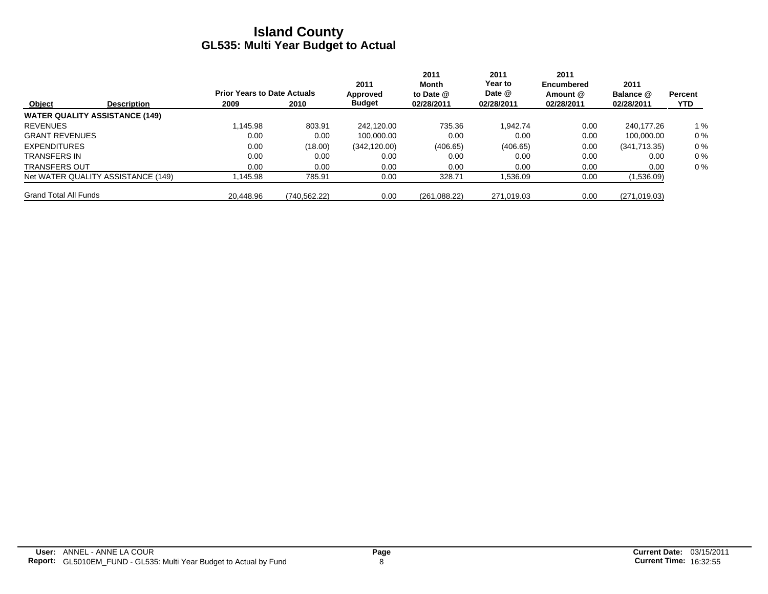| <b>Object</b>                |                                       |                                            |              | 2011<br>2011<br>Month     |                         | 2011<br>Year to      | 2011<br>Encumbered<br>Amount @<br>02/28/2011 | 2011<br>Balance @<br>02/28/2011 | <b>Percent</b><br><b>YTD</b> |
|------------------------------|---------------------------------------|--------------------------------------------|--------------|---------------------------|-------------------------|----------------------|----------------------------------------------|---------------------------------|------------------------------|
|                              | <b>Description</b>                    | <b>Prior Years to Date Actuals</b><br>2009 | 2010         | Approved<br><b>Budget</b> | to Date @<br>02/28/2011 | Date @<br>02/28/2011 |                                              |                                 |                              |
|                              | <b>WATER QUALITY ASSISTANCE (149)</b> |                                            |              |                           |                         |                      |                                              |                                 |                              |
| <b>REVENUES</b>              |                                       | 1.145.98                                   | 803.91       | 242.120.00                | 735.36                  | 1.942.74             | 0.00                                         | 240.177.26                      | 1%                           |
| <b>GRANT REVENUES</b>        |                                       | 0.00                                       | 0.00         | 100.000.00                | 0.00                    | 0.00                 | 0.00                                         | 100.000.00                      | $0\%$                        |
| <b>EXPENDITURES</b>          |                                       | 0.00                                       | (18.00)      | (342, 120.00)             | (406.65)                | (406.65)             | 0.00                                         | (341,713.35)                    | $0\%$                        |
| <b>TRANSFERS IN</b>          |                                       | 0.00                                       | 0.00         | 0.00                      | 0.00                    | 0.00                 | 0.00                                         | 0.00                            | $0\%$                        |
| <b>TRANSFERS OUT</b>         |                                       | 0.00                                       | 0.00         | 0.00                      | 0.00                    | 0.00                 | 0.00                                         | 0.00                            | $0\%$                        |
|                              | Net WATER QUALITY ASSISTANCE (149)    | .145.98                                    | 785.91       | 0.00                      | 328.71                  | 536.09. ا            | 0.00                                         | (1,536.09)                      |                              |
| <b>Grand Total All Funds</b> |                                       | 20.448.96                                  | (740.562.22) | 0.00                      | (261,088.22)            | 271,019.03           | 0.00                                         | (271, 019.03)                   |                              |